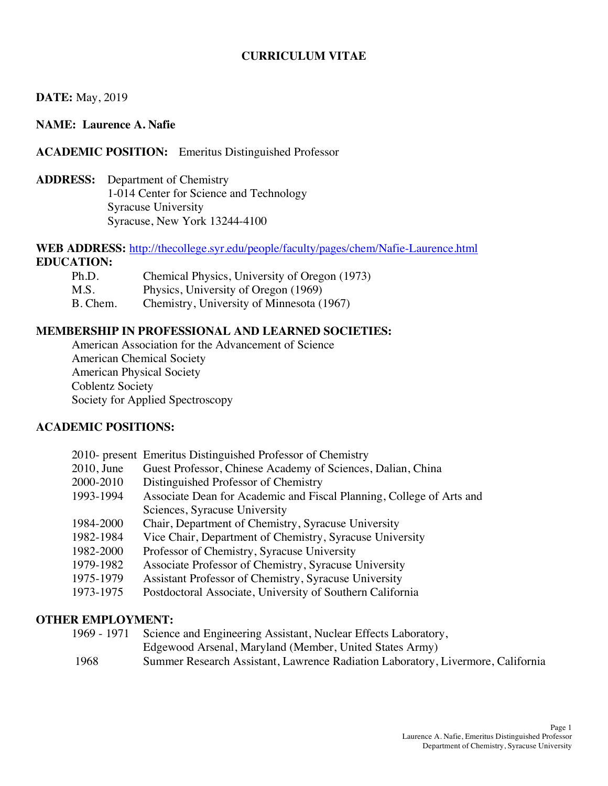## **CURRICULUM VITAE**

### **DATE:** May, 2019

### **NAME: Laurence A. Nafie**

### **ACADEMIC POSITION:** Emeritus Distinguished Professor

 **ADDRESS:** Department of Chemistry 1-014 Center for Science and Technology Syracuse University Syracuse, New York 13244-4100

### **WEB ADDRESS:** http://thecollege.syr.edu/people/faculty/pages/chem/Nafie-Laurence.html **EDUCATION:**

| Ph.D.    | Chemical Physics, University of Oregon (1973) |
|----------|-----------------------------------------------|
| M.S.     | Physics, University of Oregon (1969)          |
| B. Chem. | Chemistry, University of Minnesota (1967)     |

### **MEMBERSHIP IN PROFESSIONAL AND LEARNED SOCIETIES:**

 American Association for the Advancement of Science American Chemical Society American Physical Society Coblentz Society Society for Applied Spectroscopy

# **ACADEMIC POSITIONS:**

| 2010- present Emeritus Distinguished Professor of Chemistry          |
|----------------------------------------------------------------------|
| Guest Professor, Chinese Academy of Sciences, Dalian, China          |
| Distinguished Professor of Chemistry                                 |
| Associate Dean for Academic and Fiscal Planning, College of Arts and |
| Sciences, Syracuse University                                        |
| Chair, Department of Chemistry, Syracuse University                  |
| Vice Chair, Department of Chemistry, Syracuse University             |
| Professor of Chemistry, Syracuse University                          |
| Associate Professor of Chemistry, Syracuse University                |
| Assistant Professor of Chemistry, Syracuse University                |
| Postdoctoral Associate, University of Southern California            |
|                                                                      |

#### **OTHER EMPLOYMENT:**

- 1969 1971 Science and Engineering Assistant, Nuclear Effects Laboratory,
- Edgewood Arsenal, Maryland (Member, United States Army) 1968 Summer Research Assistant, Lawrence Radiation Laboratory, Livermore, California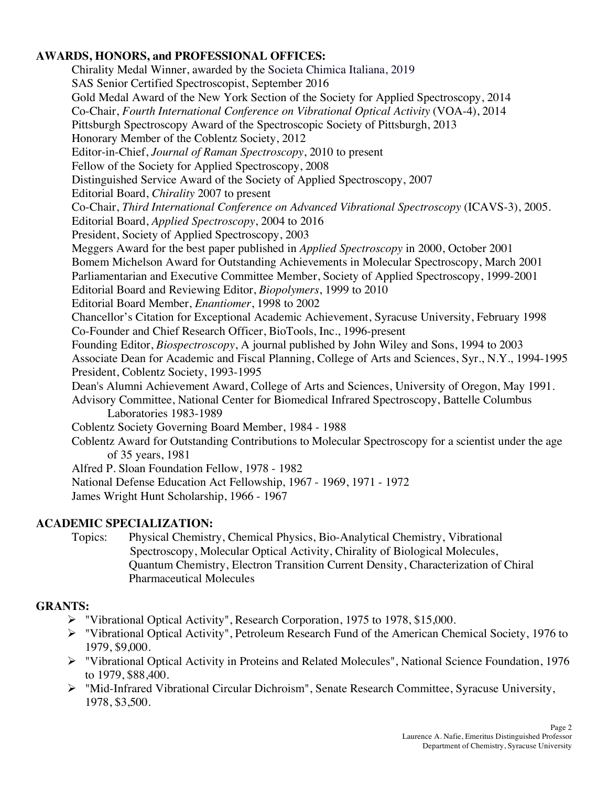# **AWARDS, HONORS, and PROFESSIONAL OFFICES:**

 Chirality Medal Winner, awarded by the Societa Chimica Italiana, 2019 Gold Medal Award of the New York Section of the Society for Applied Spectroscopy, 2014  Co-Chair, *Fourth International Conference on Vibrational Optical Activity* (VOA-4), 2014 Pittsburgh Spectroscopy Award of the Spectroscopic Society of Pittsburgh, 2013 Honorary Member of the Coblentz Society, 2012  Editor-in-Chief, *Journal of Raman Spectroscopy*, 2010 to present Fellow of the Society for Applied Spectroscopy, 2008 Distinguished Service Award of the Society of Applied Spectroscopy, 2007 Editorial Board, *Chirality* 2007 to present  Co-Chair, *Third International Conference on Advanced Vibrational Spectroscopy* (ICAVS-3), 2005. Editorial Board, *Applied Spectroscopy*, 2004 to 2016 President, Society of Applied Spectroscopy, 2003 Meggers Award for the best paper published in *Applied Spectroscopy* in 2000, October 2001 Bomem Michelson Award for Outstanding Achievements in Molecular Spectroscopy, March 2001 Parliamentarian and Executive Committee Member, Society of Applied Spectroscopy, 1999-2001 Editorial Board and Reviewing Editor, *Biopolymers*, 1999 to 2010 Editorial Board Member, *Enantiomer*, 1998 to 2002 Chancellor's Citation for Exceptional Academic Achievement, Syracuse University, February 1998 Co-Founder and Chief Research Officer, BioTools, Inc., 1996-present Founding Editor, *Biospectroscopy*, A journal published by John Wiley and Sons, 1994 to 2003 Associate Dean for Academic and Fiscal Planning, College of Arts and Sciences, Syr., N.Y., 1994-1995 President, Coblentz Society, 1993-1995 Dean's Alumni Achievement Award, College of Arts and Sciences, University of Oregon, May 1991. Advisory Committee, National Center for Biomedical Infrared Spectroscopy, Battelle Columbus Laboratories 1983-1989 Coblentz Society Governing Board Member, 1984 - 1988 Coblentz Award for Outstanding Contributions to Molecular Spectroscopy for a scientist under the age of 35 years, 1981 Alfred P. Sloan Foundation Fellow, 1978 - 1982 National Defense Education Act Fellowship, 1967 - 1969, 1971 - 1972 James Wright Hunt Scholarship, 1966 - 1967 SAS Senior Certified Spectroscopist, September 2016

## **ACADEMIC SPECIALIZATION:**

Topics: Spectroscopy, Molecular Optical Activity, Chirality of Biological Molecules, Quantum Chemistry, Electron Transition Current Density, Characterization of Chiral Pharmaceutical Molecules Physical Chemistry, Chemical Physics, Bio-Analytical Chemistry, Vibrational

## **GRANTS:**

- "Vibrational Optical Activity", Research Corporation, 1975 to 1978, \$15,000.
- • "Vibrational Optical Activity", Petroleum Research Fund of the American Chemical Society, 1976 to 1979, \$9,000.
- • "Vibrational Optical Activity in Proteins and Related Molecules", National Science Foundation, 1976 to 1979, \$88,400.
- • "Mid-Infrared Vibrational Circular Dichroism", Senate Research Committee, Syracuse University, 1978, \$3,500.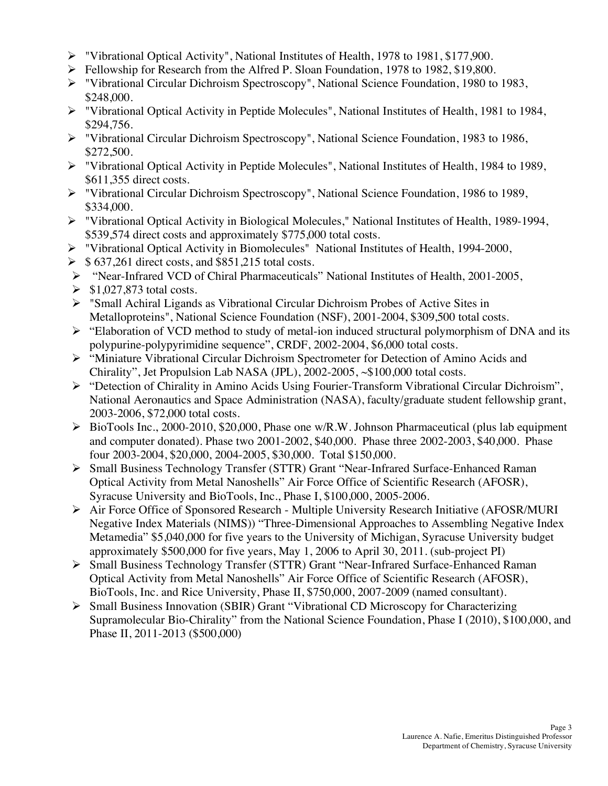- "Vibrational Optical Activity", National Institutes of Health, 1978 to 1981, \$177,900.
- Fellowship for Research from the Alfred P. Sloan Foundation, 1978 to 1982, \$19,800.
- • "Vibrational Circular Dichroism Spectroscopy", National Science Foundation, 1980 to 1983, \$248,000.
- • "Vibrational Optical Activity in Peptide Molecules", National Institutes of Health, 1981 to 1984, \$294,756.
- • "Vibrational Circular Dichroism Spectroscopy", National Science Foundation, 1983 to 1986, \$272,500.
- • "Vibrational Optical Activity in Peptide Molecules", National Institutes of Health, 1984 to 1989, \$611,355 direct costs.
- • "Vibrational Circular Dichroism Spectroscopy", National Science Foundation, 1986 to 1989, \$334,000.
- • "Vibrational Optical Activity in Biological Molecules," National Institutes of Health, 1989-1994, \$539,574 direct costs and approximately \$775,000 total costs.
- "Vibrational Optical Activity in Biomolecules" National Institutes of Health, 1994-2000,
- $\triangleright$  \$ 637,261 direct costs, and \$851,215 total costs.
- "Near-Infrared VCD of Chiral Pharmaceuticals" National Institutes of Health, 2001-2005,
- $\geq$  \$1,027,873 total costs.
- • "Small Achiral Ligands as Vibrational Circular Dichroism Probes of Active Sites in Metalloproteins", National Science Foundation (NSF), 2001-2004, \$309,500 total costs.
- • "Elaboration of VCD method to study of metal-ion induced structural polymorphism of DNA and its polypurine-polypyrimidine sequence", CRDF, 2002-2004, \$6,000 total costs.
- • "Miniature Vibrational Circular Dichroism Spectrometer for Detection of Amino Acids and Chirality", Jet Propulsion Lab NASA (JPL), 2002-2005, ~\$100,000 total costs.
- • "Detection of Chirality in Amino Acids Using Fourier-Transform Vibrational Circular Dichroism", National Aeronautics and Space Administration (NASA), faculty/graduate student fellowship grant, 2003-2006, \$72,000 total costs.
- • BioTools Inc., 2000-2010, \$20,000, Phase one w/R.W. Johnson Pharmaceutical (plus lab equipment and computer donated). Phase two 2001-2002, \$40,000. Phase three 2002-2003, \$40,000. Phase four 2003-2004, \$20,000, 2004-2005, \$30,000. Total \$150,000.
- • Small Business Technology Transfer (STTR) Grant "Near-Infrared Surface-Enhanced Raman Optical Activity from Metal Nanoshells" Air Force Office of Scientific Research (AFOSR), Syracuse University and BioTools, Inc., Phase I, \$100,000, 2005-2006.
- • Air Force Office of Sponsored Research Multiple University Research Initiative (AFOSR/MURI Negative Index Materials (NIMS)) "Three-Dimensional Approaches to Assembling Negative Index Metamedia" \$5,040,000 for five years to the University of Michigan, Syracuse University budget approximately \$500,000 for five years, May 1, 2006 to April 30, 2011. (sub-project PI)
- • Small Business Technology Transfer (STTR) Grant "Near-Infrared Surface-Enhanced Raman Optical Activity from Metal Nanoshells" Air Force Office of Scientific Research (AFOSR), BioTools, Inc. and Rice University, Phase II, \$750,000, 2007-2009 (named consultant).
- • Small Business Innovation (SBIR) Grant "Vibrational CD Microscopy for Characterizing Supramolecular Bio-Chirality" from the National Science Foundation, Phase I (2010), \$100,000, and Phase II, 2011-2013 (\$500,000)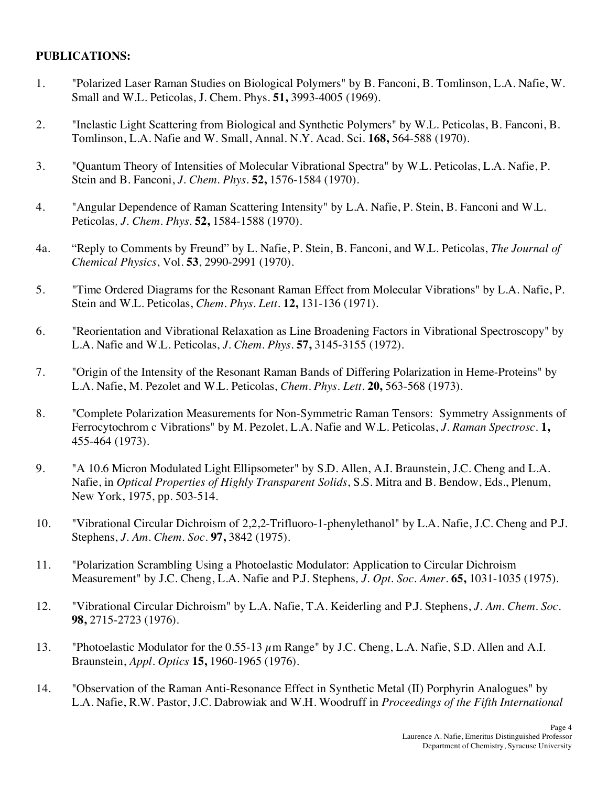## **PUBLICATIONS:**

- 1. "Polarized Laser Raman Studies on Biological Polymers" by B. Fanconi, B. Tomlinson, L.A. Nafie, W. Small and W.L. Peticolas, J. Chem. Phys. **51,** 3993-4005 (1969).
- 2. "Inelastic Light Scattering from Biological and Synthetic Polymers" by W.L. Peticolas, B. Fanconi, B. Tomlinson, L.A. Nafie and W. Small, Annal. N.Y. Acad. Sci. **168,** 564-588 (1970).
- 3. "Quantum Theory of Intensities of Molecular Vibrational Spectra" by W.L. Peticolas, L.A. Nafie, P. Stein and B. Fanconi, *J. Chem. Phys*. **52,** 1576-1584 (1970).
- 4. "Angular Dependence of Raman Scattering Intensity" by L.A. Nafie, P. Stein, B. Fanconi and W.L.  Peticolas*, J. Chem. Phys*. **52,** 1584-1588 (1970).
- 4a. "Reply to Comments by Freund" by L. Nafie, P. Stein, B. Fanconi, and W.L. Peticolas, *The Journal of Chemical Physics*, Vol. **53**, 2990-2991 (1970).
- 5.  Stein and W.L. Peticolas, *Chem. Phys. Lett*. **12,** 131-136 (1971). "Time Ordered Diagrams for the Resonant Raman Effect from Molecular Vibrations" by L.A. Nafie, P.
- 6. "Reorientation and Vibrational Relaxation as Line Broadening Factors in Vibrational Spectroscopy" by L.A. Nafie and W.L. Peticolas, *J. Chem. Phys*. **57,** 3145-3155 (1972).
- 7. "Origin of the Intensity of the Resonant Raman Bands of Differing Polarization in Heme-Proteins" by L.A. Nafie, M. Pezolet and W.L. Peticolas, *Chem. Phys. Lett*. **20,** 563-568 (1973).
- 8. "Complete Polarization Measurements for Non-Symmetric Raman Tensors: Symmetry Assignments of Ferrocytochrom c Vibrations" by M. Pezolet, L.A. Nafie and W.L. Peticolas, *J. Raman Spectrosc*. **1,** 455-464 (1973).
- 9. Nafie, in *Optical Properties of Highly Transparent Solids*, S.S. Mitra and B. Bendow, Eds., Plenum, New York, 1975, pp. 503-514. 9. "A 10.6 Micron Modulated Light Ellipsometer" by S.D. Allen, A.I. Braunstein, J.C. Cheng and L.A.
- 10. "Vibrational Circular Dichroism of 2,2,2-Trifluoro-1-phenylethanol" by L.A. Nafie, J.C. Cheng and P.J.  Stephens, *J. Am. Chem. Soc*. **97,** 3842 (1975).
- 11. "Polarization Scrambling Using a Photoelastic Modulator: Application to Circular Dichroism Measurement" by J.C. Cheng, L.A. Nafie and P.J. Stephens*, J. Opt. Soc. Amer*. **65,** 1031-1035 (1975).
- 12. "Vibrational Circular Dichroism" by L.A. Nafie, T.A. Keiderling and P.J. Stephens, *J. Am. Chem. Soc*. **98,** 2715-2723 (1976).
- 13. "Photoelastic Modulator for the 0.55-13  $\mu$ m Range" by J.C. Cheng, L.A. Nafie, S.D. Allen and A.I. Braunstein, *Appl. Optics* **15,** 1960-1965 (1976).
- 14. "Observation of the Raman Anti-Resonance Effect in Synthetic Metal (II) Porphyrin Analogues" by L.A. Nafie, R.W. Pastor, J.C. Dabrowiak and W.H. Woodruff in *Proceedings of the Fifth International*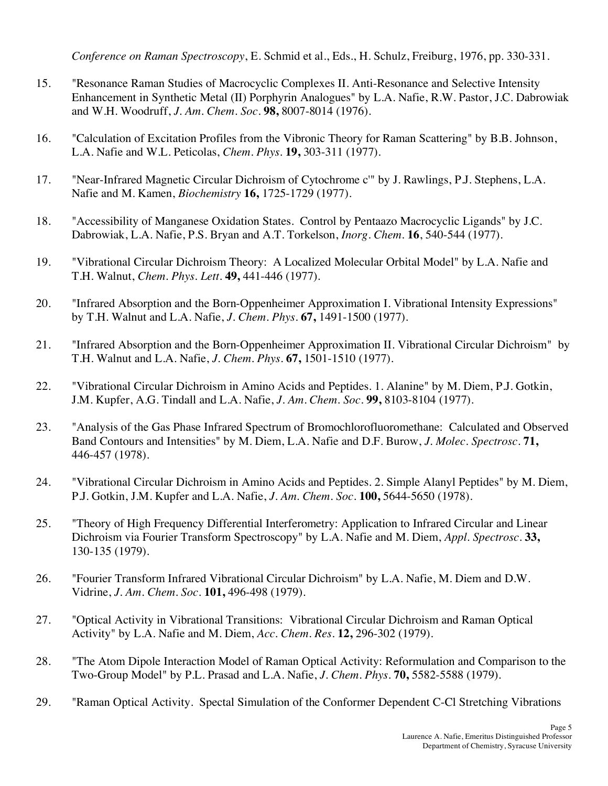*Conference on Raman Spectroscopy*, E. Schmid et al., Eds., H. Schulz, Freiburg, 1976, pp. 330-331.

- 15. "Resonance Raman Studies of Macrocyclic Complexes II. Anti-Resonance and Selective Intensity Enhancement in Synthetic Metal (II) Porphyrin Analogues" by L.A. Nafie, R.W. Pastor, J.C. Dabrowiak and W.H. Woodruff, *J. Am. Chem. Soc*. **98,** 8007-8014 (1976).
- 16. "Calculation of Excitation Profiles from the Vibronic Theory for Raman Scattering" by B.B. Johnson, L.A. Nafie and W.L. Peticolas, *Chem. Phys*. **19,** 303-311 (1977).
- 17. "Near-Infrared Magnetic Circular Dichroism of Cytochrome c'" by J. Rawlings, P.J. Stephens, L.A. Nafie and M. Kamen, *Biochemistry* **16,** 1725-1729 (1977).
- 18. "Accessibility of Manganese Oxidation States. Control by Pentaazo Macrocyclic Ligands" by J.C. Dabrowiak, L.A. Nafie, P.S. Bryan and A.T. Torkelson, *Inorg. Chem*. **16**, 540-544 (1977).
- 19. "Vibrational Circular Dichroism Theory: A Localized Molecular Orbital Model" by L.A. Nafie and T.H. Walnut, *Chem. Phys. Lett*. **49,** 441-446 (1977).
- 20. "Infrared Absorption and the Born-Oppenheimer Approximation I. Vibrational Intensity Expressions" by T.H. Walnut and L.A. Nafie, *J. Chem. Phys*. **67,** 1491-1500 (1977).
- 21. "Infrared Absorption and the Born-Oppenheimer Approximation II. Vibrational Circular Dichroism" by T.H. Walnut and L.A. Nafie, *J. Chem. Phys*. **67,** 1501-1510 (1977).
- 22. "Vibrational Circular Dichroism in Amino Acids and Peptides. 1. Alanine" by M. Diem, P.J. Gotkin, J.M. Kupfer, A.G. Tindall and L.A. Nafie, *J. Am. Chem. Soc*. **99,** 8103-8104 (1977).
- 23. "Analysis of the Gas Phase Infrared Spectrum of Bromochlorofluoromethane: Calculated and Observed Band Contours and Intensities" by M. Diem, L.A. Nafie and D.F. Burow, *J. Molec. Spectrosc*. **71,** 446-457 (1978).
- 24. "Vibrational Circular Dichroism in Amino Acids and Peptides. 2. Simple Alanyl Peptides" by M. Diem, P.J. Gotkin, J.M. Kupfer and L.A. Nafie, *J. Am. Chem. Soc*. **100,** 5644-5650 (1978).
- 25. "Theory of High Frequency Differential Interferometry: Application to Infrared Circular and Linear Dichroism via Fourier Transform Spectroscopy" by L.A. Nafie and M. Diem, *Appl. Spectrosc*. **33,** 130-135 (1979).
- 26.  Vidrine, *J. Am. Chem. Soc*. **101,** 496-498 (1979). 26. "Fourier Transform Infrared Vibrational Circular Dichroism" by L.A. Nafie, M. Diem and D.W.
- 27. Activity" by L.A. Nafie and M. Diem, *Acc. Chem. Res*. **12,** 296-302 (1979). 27. "Optical Activity in Vibrational Transitions: Vibrational Circular Dichroism and Raman Optical
- 28. Two-Group Model" by P.L. Prasad and L.A. Nafie, *J. Chem. Phys*. **70,** 5582-5588 (1979). "The Atom Dipole Interaction Model of Raman Optical Activity: Reformulation and Comparison to the
- 29. "Raman Optical Activity. Spectal Simulation of the Conformer Dependent C-Cl Stretching Vibrations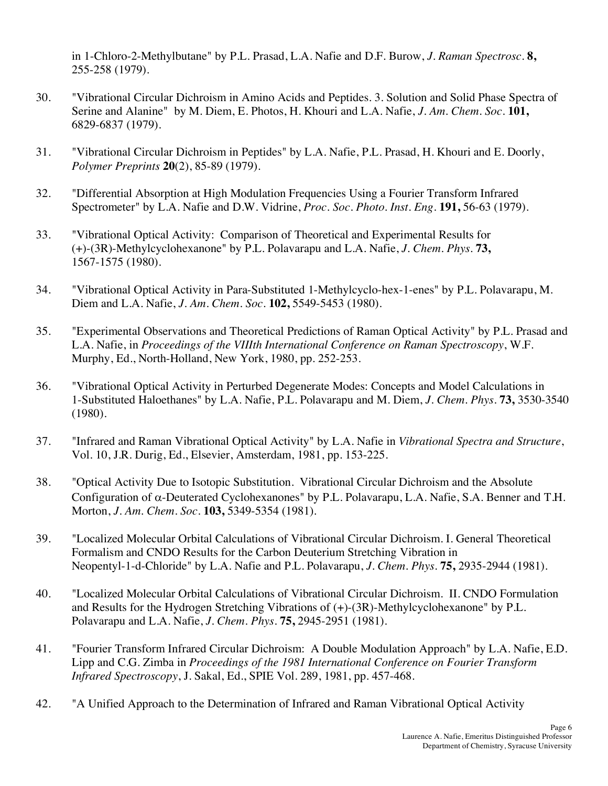in 1-Chloro-2-Methylbutane" by P.L. Prasad, L.A. Nafie and D.F. Burow, *J. Raman Spectrosc*. **8,** 255-258 (1979).

- 30. "Vibrational Circular Dichroism in Amino Acids and Peptides. 3. Solution and Solid Phase Spectra of Serine and Alanine" by M. Diem, E. Photos, H. Khouri and L.A. Nafie, *J. Am. Chem. Soc*. **101,** 6829-6837 (1979).
- 31. "Vibrational Circular Dichroism in Peptides" by L.A. Nafie, P.L. Prasad, H. Khouri and E. Doorly, *Polymer Preprints* **20**(2), 85-89 (1979).
- 32. "Differential Absorption at High Modulation Frequencies Using a Fourier Transform Infrared Spectrometer" by L.A. Nafie and D.W. Vidrine, *Proc. Soc. Photo. Inst. Eng*. **191,** 56-63 (1979).
- 33. "Vibrational Optical Activity: Comparison of Theoretical and Experimental Results for (+)-(3R)-Methylcyclohexanone" by P.L. Polavarapu and L.A. Nafie, *J. Chem. Phys*. **73,** 1567-1575 (1980).
- 34. "Vibrational Optical Activity in Para-Substituted 1-Methylcyclo-hex-1-enes" by P.L. Polavarapu, M. Diem and L.A. Nafie, *J. Am. Chem. Soc*. **102,** 5549-5453 (1980).
- 35. "Experimental Observations and Theoretical Predictions of Raman Optical Activity" by P.L. Prasad and L.A. Nafie, in *Proceedings of the VIIIth International Conference on Raman Spectroscopy*, W.F. Murphy, Ed., North-Holland, New York, 1980, pp. 252-253.
- 36. "Vibrational Optical Activity in Perturbed Degenerate Modes: Concepts and Model Calculations in 1-Substituted Haloethanes" by L.A. Nafie, P.L. Polavarapu and M. Diem, *J. Chem. Phys*. **73,** 3530-3540 (1980).
- 37. "Infrared and Raman Vibrational Optical Activity" by L.A. Nafie in *Vibrational Spectra and Structure*, Vol. 10, J.R. Durig, Ed., Elsevier, Amsterdam, 1981, pp. 153-225.
- 38. Configuration of a-Deuterated Cyclohexanones" by P.L. Polavarapu, L.A. Nafie, S.A. Benner and T.H.  Morton, *J. Am. Chem. Soc*. **103,** 5349-5354 (1981). "Optical Activity Due to Isotopic Substitution. Vibrational Circular Dichroism and the Absolute
- 39. "Localized Molecular Orbital Calculations of Vibrational Circular Dichroism. I. General Theoretical Formalism and CNDO Results for the Carbon Deuterium Stretching Vibration in Neopentyl-1-d-Chloride" by L.A. Nafie and P.L. Polavarapu, *J. Chem. Phys*. **75,** 2935-2944 (1981).
- 40. "Localized Molecular Orbital Calculations of Vibrational Circular Dichroism. II. CNDO Formulation and Results for the Hydrogen Stretching Vibrations of (+)-(3R)-Methylcyclohexanone" by P.L. Polavarapu and L.A. Nafie, *J. Chem. Phys*. **75,** 2945-2951 (1981).
- 41. Lipp and C.G. Zimba in *Proceedings of the 1981 International Conference on Fourier Transform Infrared Spectroscopy*, J. Sakal, Ed., SPIE Vol. 289, 1981, pp. 457-468. "Fourier Transform Infrared Circular Dichroism: A Double Modulation Approach" by L.A. Nafie, E.D.
- 42. "A Unified Approach to the Determination of Infrared and Raman Vibrational Optical Activity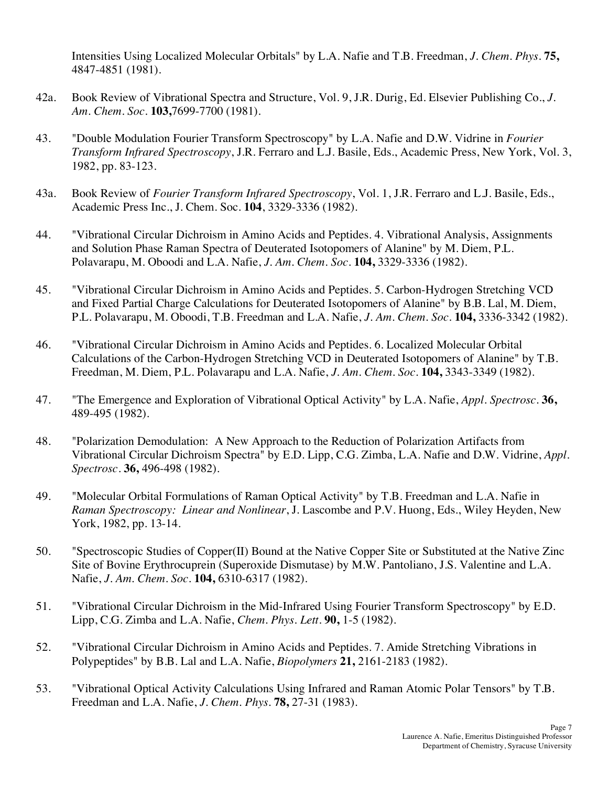Intensities Using Localized Molecular Orbitals" by L.A. Nafie and T.B. Freedman, *J. Chem. Phys*. **75,** 4847-4851 (1981).

- 42a. Book Review of Vibrational Spectra and Structure, Vol. 9, J.R. Durig, Ed. Elsevier Publishing Co., *J. Am. Chem. Soc*. **103,**7699-7700 (1981).
- 43. *Transform Infrared Spectroscopy*, J.R. Ferraro and L.J. Basile, Eds., Academic Press, New York, Vol. 3, 1982, pp. 83-123. 43. "Double Modulation Fourier Transform Spectroscopy" by L.A. Nafie and D.W. Vidrine in *Fourier*
- 43a. Book Review of *Fourier Transform Infrared Spectroscopy*, Vol. 1, J.R. Ferraro and L.J. Basile, Eds., Academic Press Inc., J. Chem. Soc. **104**, 3329-3336 (1982).
- 44. "Vibrational Circular Dichroism in Amino Acids and Peptides. 4. Vibrational Analysis, Assignments and Solution Phase Raman Spectra of Deuterated Isotopomers of Alanine" by M. Diem, P.L. Polavarapu, M. Oboodi and L.A. Nafie, *J. Am. Chem. Soc*. **104,** 3329-3336 (1982).
- 45. "Vibrational Circular Dichroism in Amino Acids and Peptides. 5. Carbon-Hydrogen Stretching VCD and Fixed Partial Charge Calculations for Deuterated Isotopomers of Alanine" by B.B. Lal, M. Diem, P.L. Polavarapu, M. Oboodi, T.B. Freedman and L.A. Nafie, *J. Am. Chem. Soc*. **104,** 3336-3342 (1982).
- 46. "Vibrational Circular Dichroism in Amino Acids and Peptides. 6. Localized Molecular Orbital Calculations of the Carbon-Hydrogen Stretching VCD in Deuterated Isotopomers of Alanine" by T.B. Freedman, M. Diem, P.L. Polavarapu and L.A. Nafie, *J. Am. Chem*. *Soc*. **104,** 3343-3349 (1982).
- 47. 47. "The Emergence and Exploration of Vibrational Optical Activity" by L.A. Nafie, *Appl. Spectrosc*. **36,**  489-495 (1982).
- 48. "Polarization Demodulation: A New Approach to the Reduction of Polarization Artifacts from Vibrational Circular Dichroism Spectra" by E.D. Lipp, C.G. Zimba, L.A. Nafie and D.W. Vidrine, *Appl. Spectrosc*. **36,** 496-498 (1982).
- 49. "Molecular Orbital Formulations of Raman Optical Activity" by T.B. Freedman and L.A. Nafie in  *Raman Spectroscopy: Linear and Nonlinear*, J. Lascombe and P.V. Huong, Eds., Wiley Heyden, New York, 1982, pp. 13-14.
- 50. "Spectroscopic Studies of Copper(II) Bound at the Native Copper Site or Substituted at the Native Zinc Site of Bovine Erythrocuprein (Superoxide Dismutase) by M.W. Pantoliano, J.S. Valentine and L.A.  Nafie, *J. Am. Chem. Soc*. **104,** 6310-6317 (1982).
- 51. "Vibrational Circular Dichroism in the Mid-Infrared Using Fourier Transform Spectroscopy" by E.D. Lipp, C.G. Zimba and L.A. Nafie, *Chem. Phys. Lett*. **90,** 1-5 (1982).
- 52. "Vibrational Circular Dichroism in Amino Acids and Peptides. 7. Amide Stretching Vibrations in Polypeptides" by B.B. Lal and L.A. Nafie, *Biopolymers* **21,** 2161-2183 (1982).
- 53. "Vibrational Optical Activity Calculations Using Infrared and Raman Atomic Polar Tensors" by T.B. Freedman and L.A. Nafie, *J. Chem. Phys*. **78,** 27-31 (1983).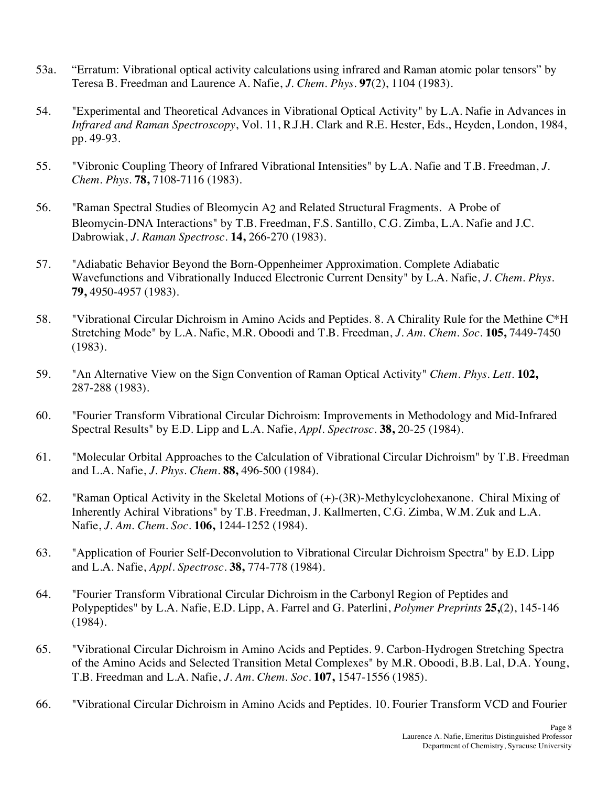- 53a. "Erratum: Vibrational optical activity calculations using infrared and Raman atomic polar tensors" by Teresa B. Freedman and Laurence A. Nafie, *J. Chem. Phys*. **97**(2), 1104 (1983).
- 54. "Experimental and Theoretical Advances in Vibrational Optical Activity" by L.A. Nafie in Advances in *Infrared and Raman Spectroscopy*, Vol. 11, R.J.H. Clark and R.E. Hester, Eds., Heyden, London, 1984, pp. 49-93.
- 55. "Vibronic Coupling Theory of Infrared Vibrational Intensities" by L.A. Nafie and T.B. Freedman, *J. Chem. Phys*. **78,** 7108-7116 (1983).
- 56. "Raman Spectral Studies of Bleomycin A2 and Related Structural Fragments. A Probe of Bleomycin-DNA Interactions" by T.B. Freedman, F.S. Santillo, C.G. Zimba, L.A. Nafie and J.C.  Dabrowiak, *J. Raman Spectrosc*. **14,** 266-270 (1983).
- 57. "Adiabatic Behavior Beyond the Born-Oppenheimer Approximation. Complete Adiabatic Wavefunctions and Vibrationally Induced Electronic Current Density" by L.A. Nafie, *J. Chem. Phys*. **79,** 4950-4957 (1983).
- 58. "Vibrational Circular Dichroism in Amino Acids and Peptides. 8. A Chirality Rule for the Methine C\*H Stretching Mode" by L.A. Nafie, M.R. Oboodi and T.B. Freedman, *J. Am. Chem. Soc*. **105,** 7449-7450 (1983).
- 59. "An Alternative View on the Sign Convention of Raman Optical Activity" *Chem. Phys. Lett*. **102,** 287-288 (1983).
- 60. Spectral Results" by E.D. Lipp and L.A. Nafie, *Appl. Spectrosc*. **38,** 20-25 (1984). "Fourier Transform Vibrational Circular Dichroism: Improvements in Methodology and Mid-Infrared
- 61. "Molecular Orbital Approaches to the Calculation of Vibrational Circular Dichroism" by T.B. Freedman and L.A. Nafie, *J. Phys. Chem*. **88,** 496-500 (1984).
- 62. "Raman Optical Activity in the Skeletal Motions of (+)-(3R)-Methylcyclohexanone. Chiral Mixing of Inherently Achiral Vibrations" by T.B. Freedman, J. Kallmerten, C.G. Zimba, W.M. Zuk and L.A.  Nafie, *J. Am. Chem. Soc*. **106,** 1244-1252 (1984).
- 63. "Application of Fourier Self-Deconvolution to Vibrational Circular Dichroism Spectra" by E.D. Lipp and L.A. Nafie, *Appl. Spectrosc*. **38,** 774-778 (1984).
- 64. Polypeptides" by L.A. Nafie, E.D. Lipp, A. Farrel and G. Paterlini, *Polymer Preprints* **25,**(2), 145-146 64. "Fourier Transform Vibrational Circular Dichroism in the Carbonyl Region of Peptides and (1984).
- 65. "Vibrational Circular Dichroism in Amino Acids and Peptides. 9. Carbon-Hydrogen Stretching Spectra of the Amino Acids and Selected Transition Metal Complexes" by M.R. Oboodi, B.B. Lal, D.A. Young, T.B. Freedman and L.A. Nafie, *J. Am. Chem. Soc*. **107,** 1547-1556 (1985).
- 66. "Vibrational Circular Dichroism in Amino Acids and Peptides. 10. Fourier Transform VCD and Fourier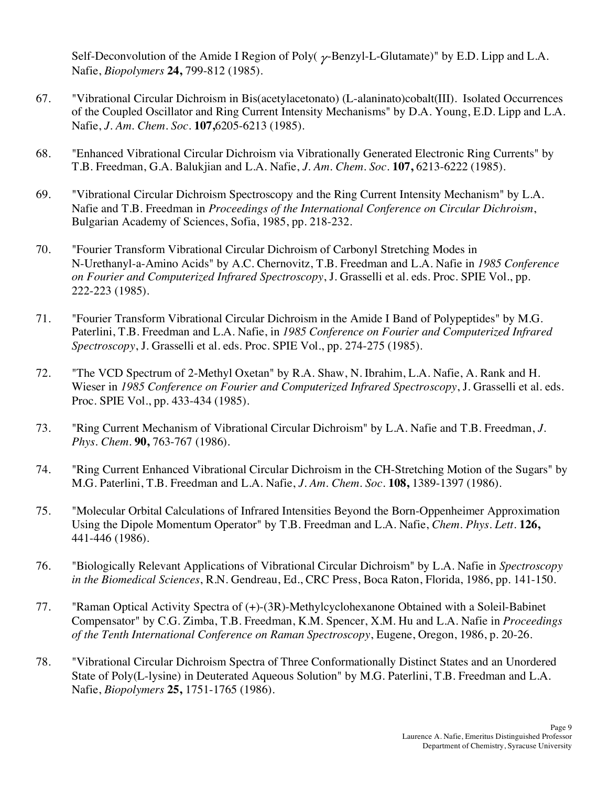Self-Deconvolution of the Amide I Region of Poly( $\gamma$ -Benzyl-L-Glutamate)" by E.D. Lipp and L.A. Nafie, *Biopolymers* **24,** 799-812 (1985).

- 67. "Vibrational Circular Dichroism in Bis(acetylacetonato) (L-alaninato)cobalt(III). Isolated Occurrences of the Coupled Oscillator and Ring Current Intensity Mechanisms" by D.A. Young, E.D. Lipp and L.A.  Nafie, *J. Am. Chem. Soc*. **107,**6205-6213 (1985).
- 68. "Enhanced Vibrational Circular Dichroism via Vibrationally Generated Electronic Ring Currents" by T.B. Freedman, G.A. Balukjian and L.A. Nafie, *J. Am. Chem. Soc*. **107,** 6213-6222 (1985).
- 69. "Vibrational Circular Dichroism Spectroscopy and the Ring Current Intensity Mechanism" by L.A. Nafie and T.B. Freedman in *Proceedings of the International Conference on Circular Dichroism*, Bulgarian Academy of Sciences, Sofia, 1985, pp. 218-232.
- 70. N-Urethanyl-a-Amino Acids" by A.C. Chernovitz, T.B. Freedman and L.A. Nafie in *1985 Conference on Fourier and Computerized Infrared Spectroscopy*, J. Grasselli et al. eds. Proc. SPIE Vol., pp. "Fourier Transform Vibrational Circular Dichroism of Carbonyl Stretching Modes in 222-223 (1985).
- 71. Paterlini, T.B. Freedman and L.A. Nafie, in *1985 Conference on Fourier and Computerized Infrared Spectroscopy*, J. Grasselli et al. eds. Proc. SPIE Vol., pp. 274-275 (1985). "Fourier Transform Vibrational Circular Dichroism in the Amide I Band of Polypeptides" by M.G.
- 72.  Wieser in *1985 Conference on Fourier and Computerized Infrared Spectroscopy*, J. Grasselli et al. eds. Proc. SPIE Vol., pp. 433-434 (1985). "The VCD Spectrum of 2-Methyl Oxetan" by R.A. Shaw, N. Ibrahim, L.A. Nafie, A. Rank and H.
- 73. "Ring Current Mechanism of Vibrational Circular Dichroism" by L.A. Nafie and T.B. Freedman, *J. Phys. Chem*. **90,** 763-767 (1986).
- 74. "Ring Current Enhanced Vibrational Circular Dichroism in the CH-Stretching Motion of the Sugars" by M.G. Paterlini, T.B. Freedman and L.A. Nafie, *J. Am. Chem. Soc*. **108,** 1389-1397 (1986).
- 75. "Molecular Orbital Calculations of Infrared Intensities Beyond the Born-Oppenheimer Approximation Using the Dipole Momentum Operator" by T.B. Freedman and L.A. Nafie, *Chem. Phys. Lett*. **126,** 441-446 (1986).
- 76. "Biologically Relevant Applications of Vibrational Circular Dichroism" by L.A. Nafie in *Spectroscopy in the Biomedical Sciences*, R.N. Gendreau, Ed., CRC Press, Boca Raton, Florida, 1986, pp. 141-150.
- 77. "Raman Optical Activity Spectra of (+)-(3R)-Methylcyclohexanone Obtained with a Soleil-Babinet Compensator" by C.G. Zimba, T.B. Freedman, K.M. Spencer, X.M. Hu and L.A. Nafie in *Proceedings of the Tenth International Conference on Raman Spectroscopy*, Eugene, Oregon, 1986, p. 20-26.
- 78. "Vibrational Circular Dichroism Spectra of Three Conformationally Distinct States and an Unordered State of Poly(L-lysine) in Deuterated Aqueous Solution" by M.G. Paterlini, T.B. Freedman and L.A.  Nafie, *Biopolymers* **25,** 1751-1765 (1986).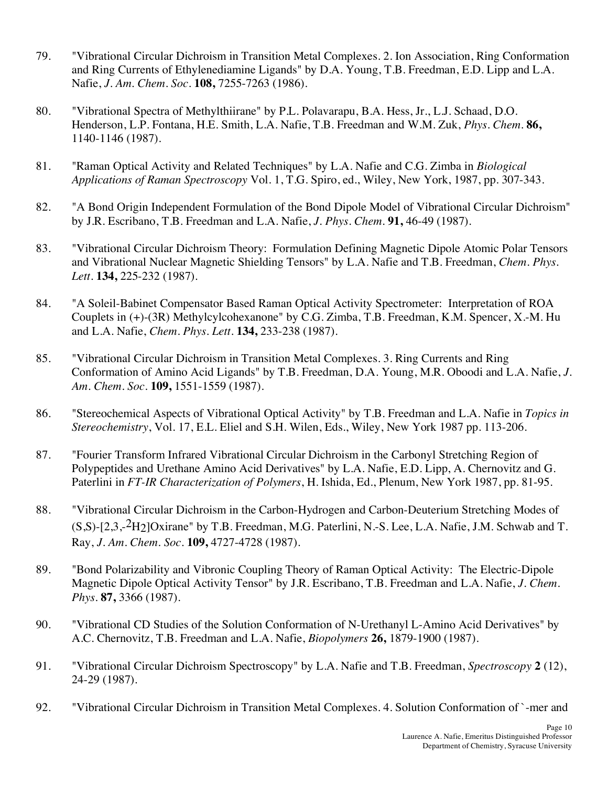- 79. "Vibrational Circular Dichroism in Transition Metal Complexes. 2. Ion Association, Ring Conformation and Ring Currents of Ethylenediamine Ligands" by D.A. Young, T.B. Freedman, E.D. Lipp and L.A.  Nafie, *J. Am. Chem. Soc*. **108,** 7255-7263 (1986).
- 80. "Vibrational Spectra of Methylthiirane" by P.L. Polavarapu, B.A. Hess, Jr., L.J. Schaad, D.O. Henderson, L.P. Fontana, H.E. Smith, L.A. Nafie, T.B. Freedman and W.M. Zuk, *Phys. Chem*. **86,** 1140-1146 (1987).
- 81. "Raman Optical Activity and Related Techniques" by L.A. Nafie and C.G. Zimba in *Biological Applications of Raman Spectroscopy* Vol. 1, T.G. Spiro, ed., Wiley, New York, 1987, pp. 307-343.
- 82. by J.R. Escribano, T.B. Freedman and L.A. Nafie, *J. Phys. Chem*. **91,** 46-49 (1987). "A Bond Origin Independent Formulation of the Bond Dipole Model of Vibrational Circular Dichroism"
- 83. "Vibrational Circular Dichroism Theory: Formulation Defining Magnetic Dipole Atomic Polar Tensors and Vibrational Nuclear Magnetic Shielding Tensors" by L.A. Nafie and T.B. Freedman, *Chem. Phys. Lett*. **134,** 225-232 (1987).
- 84. Couplets in (+)-(3R) Methylcylcohexanone" by C.G. Zimba, T.B. Freedman, K.M. Spencer, X.-M. Hu and L.A. Nafie, *Chem. Phys. Lett*. **134,** 233-238 (1987). 84. "A Soleil-Babinet Compensator Based Raman Optical Activity Spectrometer: Interpretation of ROA
- 85. "Vibrational Circular Dichroism in Transition Metal Complexes. 3. Ring Currents and Ring Conformation of Amino Acid Ligands" by T.B. Freedman, D.A. Young, M.R. Oboodi and L.A. Nafie, *J. Am. Chem. Soc*. **109,** 1551-1559 (1987).
- 86. "Stereochemical Aspects of Vibrational Optical Activity" by T.B. Freedman and L.A. Nafie in *Topics in Stereochemistry*, Vol. 17, E.L. Eliel and S.H. Wilen, Eds., Wiley, New York 1987 pp. 113-206.
- 87. Polypeptides and Urethane Amino Acid Derivatives" by L.A. Nafie, E.D. Lipp, A. Chernovitz and G. Paterlini in *FT-IR Characterization of Polymers*, H. Ishida, Ed., Plenum, New York 1987, pp. 81-95. 87. "Fourier Transform Infrared Vibrational Circular Dichroism in the Carbonyl Stretching Region of
- 88. "Vibrational Circular Dichroism in the Carbon-Hydrogen and Carbon-Deuterium Stretching Modes of  $(S, S)$ -[2,3,- $^2H_2$ ]Oxirane" by T.B. Freedman, M.G. Paterlini, N.-S. Lee, L.A. Nafie, J.M. Schwab and T.  Ray, *J. Am. Chem. Soc*. **109,** 4727-4728 (1987).
- 89. "Bond Polarizability and Vibronic Coupling Theory of Raman Optical Activity: The Electric-Dipole Magnetic Dipole Optical Activity Tensor" by J.R. Escribano, T.B. Freedman and L.A. Nafie, *J. Chem. Phys*. **87,** 3366 (1987).
- 90. "Vibrational CD Studies of the Solution Conformation of N-Urethanyl L-Amino Acid Derivatives" by A.C. Chernovitz, T.B. Freedman and L.A. Nafie, *Biopolymers* **26,** 1879-1900 (1987).
- 91. "Vibrational Circular Dichroism Spectroscopy" by L.A. Nafie and T.B. Freedman, *Spectroscopy* **2** (12), 24-29 (1987).
- 92. "Vibrational Circular Dichroism in Transition Metal Complexes. 4. Solution Conformation of `-mer and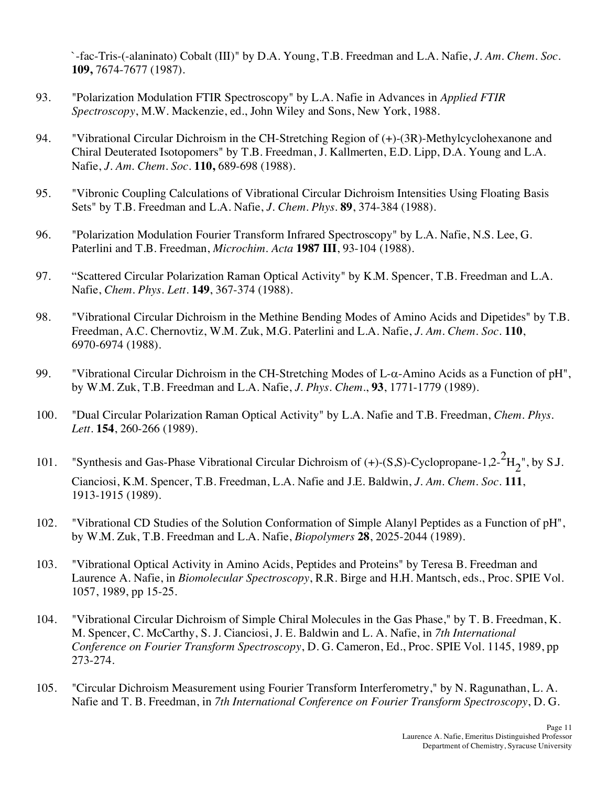`-fac-Tris-(-alaninato) Cobalt (III)" by D.A. Young, T.B. Freedman and L.A. Nafie, *J. Am. Chem. Soc*. **109,** 7674-7677 (1987).

- 93. "Polarization Modulation FTIR Spectroscopy" by L.A. Nafie in Advances in *Applied FTIR Spectroscopy*, M.W. Mackenzie, ed., John Wiley and Sons, New York, 1988.
- 94. "Vibrational Circular Dichroism in the CH-Stretching Region of (+)-(3R)-Methylcyclohexanone and Chiral Deuterated Isotopomers" by T.B. Freedman, J. Kallmerten, E.D. Lipp, D.A. Young and L.A.  Nafie, *J. Am. Chem. Soc*. **110,** 689-698 (1988).
- 95. "Vibronic Coupling Calculations of Vibrational Circular Dichroism Intensities Using Floating Basis Sets" by T.B. Freedman and L.A. Nafie, *J. Chem. Phys*. **89**, 374-384 (1988).
- 96. "Polarization Modulation Fourier Transform Infrared Spectroscopy" by L.A. Nafie, N.S. Lee, G. Paterlini and T.B. Freedman, *Microchim. Acta* **1987 III**, 93-104 (1988).
- 97. "Scattered Circular Polarization Raman Optical Activity" by K.M. Spencer, T.B. Freedman and L.A.  Nafie, *Chem. Phys. Lett*. **149**, 367-374 (1988).
- 98. "Vibrational Circular Dichroism in the Methine Bending Modes of Amino Acids and Dipetides" by T.B. Freedman, A.C. Chernovtiz, W.M. Zuk, M.G. Paterlini and L.A. Nafie, *J. Am. Chem. Soc.* **110**, 6970-6974 (1988).
- 99. "Vibrational Circular Dichroism in the CH-Stretching Modes of L- $\alpha$ -Amino Acids as a Function of pH", by W.M. Zuk, T.B. Freedman and L.A. Nafie, *J. Phys. Chem*., **93**, 1771-1779 (1989).
- 100. "Dual Circular Polarization Raman Optical Activity" by L.A. Nafie and T.B. Freedman, *Chem. Phys. Lett*. **154**, 260-266 (1989).
- 101. "Synthesis and Gas-Phase Vibrational Circular Dichroism of  $(+)$ - $(S, S)$ -Cyclopropane-1,2- $^{2}H_{2}$ ", by S.J. Cianciosi, K.M. Spencer, T.B. Freedman, L.A. Nafie and J.E. Baldwin, *J. Am. Chem. Soc*. **111**, 1913-1915 (1989).
- 102. "Vibrational CD Studies of the Solution Conformation of Simple Alanyl Peptides as a Function of pH", by W.M. Zuk, T.B. Freedman and L.A. Nafie, *Biopolymers* **28**, 2025-2044 (1989).
- 103. "Vibrational Optical Activity in Amino Acids, Peptides and Proteins" by Teresa B. Freedman and Laurence A. Nafie, in *Biomolecular Spectroscopy*, R.R. Birge and H.H. Mantsch, eds., Proc. SPIE Vol. 1057, 1989, pp 15-25.
- 104. "Vibrational Circular Dichroism of Simple Chiral Molecules in the Gas Phase," by T. B. Freedman, K. M. Spencer, C. McCarthy, S. J. Cianciosi, J. E. Baldwin and L. A. Nafie, in *7th International Conference on Fourier Transform Spectroscopy*, D. G. Cameron, Ed., Proc. SPIE Vol. 1145, 1989, pp 273-274.
- 105. Nafie and T. B. Freedman, in *7th International Conference on Fourier Transform Spectroscopy*, D. G. "Circular Dichroism Measurement using Fourier Transform Interferometry," by N. Ragunathan, L. A.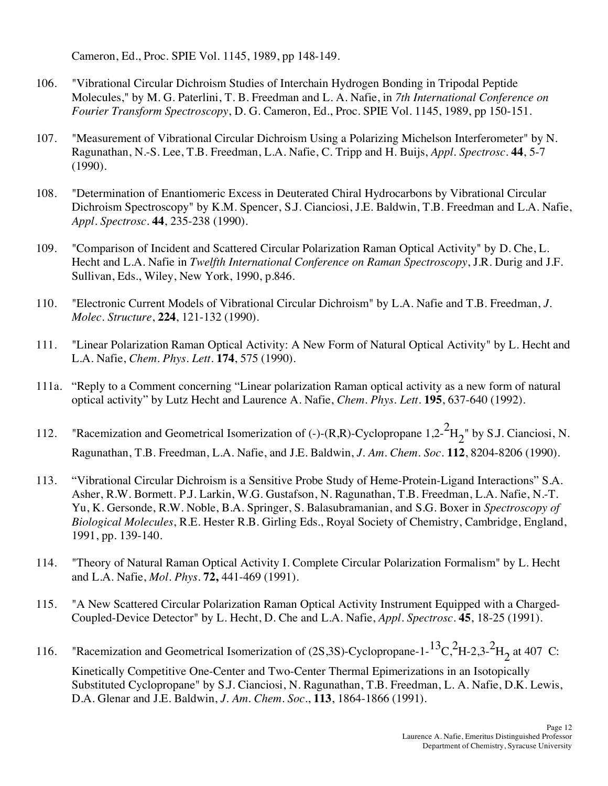Cameron, Ed., Proc. SPIE Vol. 1145, 1989, pp 148-149.

- 106. "Vibrational Circular Dichroism Studies of Interchain Hydrogen Bonding in Tripodal Peptide Molecules," by M. G. Paterlini, T. B. Freedman and L. A. Nafie, in *7th International Conference on Fourier Transform Spectroscopy*, D. G. Cameron, Ed., Proc. SPIE Vol. 1145, 1989, pp 150-151.
- 107. "Measurement of Vibrational Circular Dichroism Using a Polarizing Michelson Interferometer" by N. Ragunathan, N.-S. Lee, T.B. Freedman, L.A. Nafie, C. Tripp and H. Buijs, *Appl. Spectrosc*. **44**, 5-7 (1990).
- 108. "Determination of Enantiomeric Excess in Deuterated Chiral Hydrocarbons by Vibrational Circular Dichroism Spectroscopy" by K.M. Spencer, S.J. Cianciosi, J.E. Baldwin, T.B. Freedman and L.A. Nafie, *Appl. Spectrosc*. **44**, 235-238 (1990).
- 109. "Comparison of Incident and Scattered Circular Polarization Raman Optical Activity" by D. Che, L. Hecht and L.A. Nafie in *Twelfth International Conference on Raman Spectroscopy*, J.R. Durig and J.F. Sullivan, Eds., Wiley, New York, 1990, p.846.
- 110. "Electronic Current Models of Vibrational Circular Dichroism" by L.A. Nafie and T.B. Freedman, *J. Molec. Structure*, **224**, 121-132 (1990).
- 111. L.A. Nafie, *Chem. Phys. Lett*. **174**, 575 (1990). "Linear Polarization Raman Optical Activity: A New Form of Natural Optical Activity" by L. Hecht and
- 111a. "Reply to a Comment concerning "Linear polarization Raman optical activity as a new form of natural optical activity" by Lutz Hecht and Laurence A. Nafie, *Chem. Phys. Lett.* **195**, 637-640 (1992).
- 112. "Racemization and Geometrical Isomerization of (-)-(R,R)-Cyclopropane 1,2- ${}^{2}H_{2}$ " by S.J. Cianciosi, N. Ragunathan, T.B. Freedman, L.A. Nafie, and J.E. Baldwin, *J. Am. Chem. Soc*. **112**, 8204-8206 (1990).
- 113. "Vibrational Circular Dichroism is a Sensitive Probe Study of Heme-Protein-Ligand Interactions" S.A. Asher, R.W. Bormett. P.J. Larkin, W.G. Gustafson, N. Ragunathan, T.B. Freedman, L.A. Nafie, N.-T. Yu, K. Gersonde, R.W. Noble, B.A. Springer, S. Balasubramanian, and S.G. Boxer in *Spectroscopy of Biological Molecules*, R.E. Hester R.B. Girling Eds., Royal Society of Chemistry, Cambridge, England, 1991, pp. 139-140.
- 114. "Theory of Natural Raman Optical Activity I. Complete Circular Polarization Formalism" by L. Hecht and L.A. Nafie, *Mol. Phys*. **72,** 441-469 (1991).
- 115. Coupled-Device Detector" by L. Hecht, D. Che and L.A. Nafie, *Appl. Spectrosc*. **45**, 18-25 (1991). 115. "A New Scattered Circular Polarization Raman Optical Activity Instrument Equipped with a Charged-
- 116. "Racemization and Geometrical Isomerization of  $(2S,3S)$ -Cyclopropane-1-<sup>13</sup>C, <sup>2</sup>H-2,3-<sup>2</sup>H<sub>2</sub> at 407 C:

 Kinetically Competitive One-Center and Two-Center Thermal Epimerizations in an Isotopically Substituted Cyclopropane" by S.J. Cianciosi, N. Ragunathan, T.B. Freedman, L. A. Nafie, D.K. Lewis, D.A. Glenar and J.E. Baldwin, *J. Am. Chem. Soc*., **113**, 1864-1866 (1991).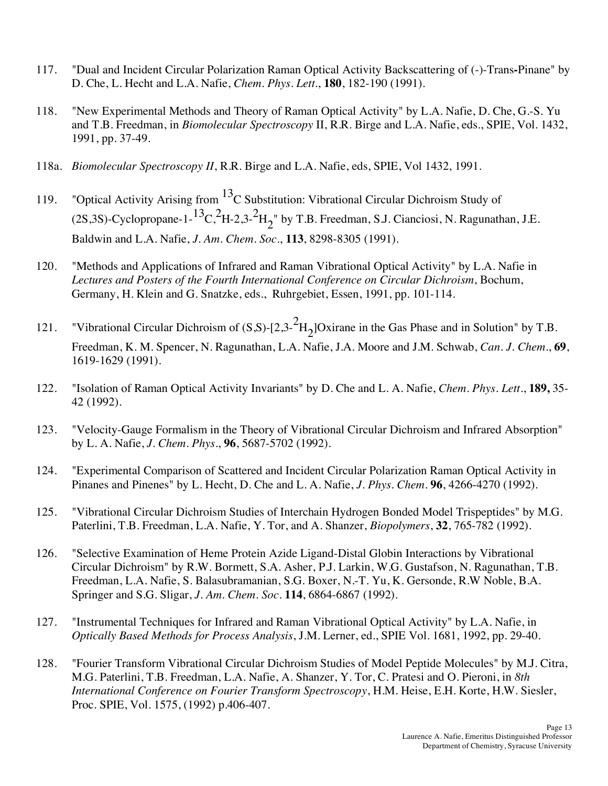- 117. D. Che, L. Hecht and L.A. Nafie, *Chem. Phys. Lett*., **180**, 182-190 (1991). 117. "Dual and Incident Circular Polarization Raman Optical Activity Backscattering of (-)-Trans**-**Pinane" by
- 118. and T.B. Freedman, in *Biomolecular Spectroscopy* II, R.R. Birge and L.A. Nafie, eds., SPIE, Vol. 1432, 1991, pp. 37-49. 118. "New Experimental Methods and Theory of Raman Optical Activity" by L.A. Nafie, D. Che, G.-S. Yu
- 118a. *Biomolecular Spectroscopy II*, R.R. Birge and L.A. Nafie, eds, SPIE, Vol 1432, 1991.
- 119. (2S,3S)-Cyclopropane-1-<sup>13</sup>C,<sup>2</sup>H-2,3-<sup>2</sup>H<sub>2</sub>" by T.B. Freedman, S.J. Cianciosi, N. Ragunathan, J.E. Baldwin and L.A. Nafie, *J. Am. Chem. Soc*., **113**, 8298-8305 (1991). "Optical Activity Arising from  ${}^{13}C$  Substitution: Vibrational Circular Dichroism Study of
- 120.  *Lectures and Posters of the Fourth International Conference on Circular Dichroism*, Bochum, Germany, H. Klein and G. Snatzke, eds., Ruhrgebiet, Essen, 1991, pp. 101-114. "Methods and Applications of Infrared and Raman Vibrational Optical Activity" by L.A. Nafie in
- 121. "Vibrational Circular Dichroism of  $(S, S)$ -[2,3- $^{2}H_{2}$ ]Oxirane in the Gas Phase and in Solution" by T.B. Freedman, K. M. Spencer, N. Ragunathan, L.A. Nafie, J.A. Moore and J.M. Schwab, *Can. J. Chem*., **69**, 1619-1629 (1991).
- 122. "Isolation of Raman Optical Activity Invariants" by D. Che and L. A. Nafie, *Chem. Phys. Lett*., **189,** 35- 42 (1992).
- 123. "Velocity-Gauge Formalism in the Theory of Vibrational Circular Dichroism and Infrared Absorption" by L. A. Nafie, *J. Chem. Phys*., **96**, 5687-5702 (1992).
- 124. "Experimental Comparison of Scattered and Incident Circular Polarization Raman Optical Activity in Pinanes and Pinenes" by L. Hecht, D. Che and L. A. Nafie, *J. Phys. Chem*. **96**, 4266-4270 (1992).
- 125. "Vibrational Circular Dichroism Studies of Interchain Hydrogen Bonded Model Trispeptides" by M.G. Paterlini, T.B. Freedman, L.A. Nafie, Y. Tor, and A. Shanzer, *Biopolymers*, **32**, 765-782 (1992).
- 126. "Selective Examination of Heme Protein Azide Ligand-Distal Globin Interactions by Vibrational Circular Dichroism" by R.W. Bormett, S.A. Asher, P.J. Larkin, W.G. Gustafson, N. Ragunathan, T.B. Freedman, L.A. Nafie, S. Balasubramanian, S.G. Boxer, N.-T. Yu, K. Gersonde, R.W Noble, B.A. Springer and S.G. Sligar, *J. Am. Chem. Soc*. **114**, 6864-6867 (1992).
- 127. "Instrumental Techniques for Infrared and Raman Vibrational Optical Activity" by L.A. Nafie, in  *Optically Based Methods for Process Analysis*, J.M. Lerner, ed., SPIE Vol. 1681, 1992, pp. 29-40.
- 128. M.G. Paterlini, T.B. Freedman, L.A. Nafie, A. Shanzer, Y. Tor, C. Pratesi and O. Pieroni, in *8th International Conference on Fourier Transform Spectroscopy*, H.M. Heise, E.H. Korte, H.W. Siesler, Proc. SPIE, Vol. 1575, (1992) p.406-407. "Fourier Transform Vibrational Circular Dichroism Studies of Model Peptide Molecules" by M.J. Citra,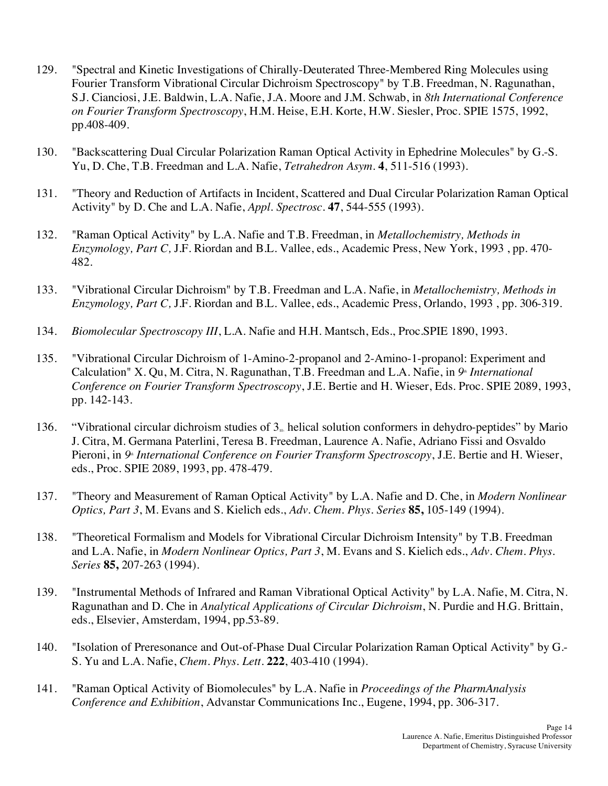- 129. Fourier Transform Vibrational Circular Dichroism Spectroscopy" by T.B. Freedman, N. Ragunathan, S.J. Cianciosi, J.E. Baldwin, L.A. Nafie, J.A. Moore and J.M. Schwab, in *8th International Conference on Fourier Transform Spectroscopy*, H.M. Heise, E.H. Korte, H.W. Siesler, Proc. SPIE 1575, 1992, 129. "Spectral and Kinetic Investigations of Chirally-Deuterated Three-Membered Ring Molecules using pp.408-409.
- 130. "Backscattering Dual Circular Polarization Raman Optical Activity in Ephedrine Molecules" by G.-S. Yu, D. Che, T.B. Freedman and L.A. Nafie, *Tetrahedron Asym*. **4**, 511-516 (1993).
- 131. "Theory and Reduction of Artifacts in Incident, Scattered and Dual Circular Polarization Raman Optical Activity" by D. Che and L.A. Nafie, *Appl. Spectrosc*. **47**, 544-555 (1993).
- 132. "Raman Optical Activity" by L.A. Nafie and T.B. Freedman, in *Metallochemistry, Methods in Enzymology, Part C,* J.F. Riordan and B.L. Vallee, eds., Academic Press, New York, 1993 , pp. 470- 482.
- 133. "Vibrational Circular Dichroism" by T.B. Freedman and L.A. Nafie, in *Metallochemistry, Methods in Enzymology, Part C,* J.F. Riordan and B.L. Vallee, eds., Academic Press, Orlando, 1993 , pp. 306-319.
- 134. *Biomolecular Spectroscopy III*, L.A. Nafie and H.H. Mantsch, Eds., Proc.SPIE 1890, 1993.
- 135. "Vibrational Circular Dichroism of 1-Amino-2-propanol and 2-Amino-1-propanol: Experiment and Calculation" X. Qu, M. Citra, N. Ragunathan, T.B. Freedman and L.A. Nafie, in 9<sup>th</sup> International  *Conference on Fourier Transform Spectroscopy*, J.E. Bertie and H. Wieser, Eds. Proc. SPIE 2089, 1993, pp. 142-143.
- 136. "Vibrational circular dichroism studies of  $3<sub>10</sub>$  helical solution conformers in dehydro-peptides" by Mario J. Citra, M. Germana Paterlini, Teresa B. Freedman, Laurence A. Nafie, Adriano Fissi and Osvaldo Pieroni, in 9<sup>th</sup> International Conference on Fourier Transform Spectroscopy, J.E. Bertie and H. Wieser, eds., Proc. SPIE 2089, 1993, pp. 478-479.
- 137. "Theory and Measurement of Raman Optical Activity" by L.A. Nafie and D. Che, in *Modern Nonlinear Optics, Part 3*, M. Evans and S. Kielich eds., *Adv. Chem. Phys. Series* **85,** 105-149 (1994).
- 138. "Theoretical Formalism and Models for Vibrational Circular Dichroism Intensity" by T.B. Freedman and L.A. Nafie, in *Modern Nonlinear Optics, Part 3*, M. Evans and S. Kielich eds., *Adv. Chem. Phys. Series* **85,** 207-263 (1994).
- 139. "Instrumental Methods of Infrared and Raman Vibrational Optical Activity" by L.A. Nafie, M. Citra, N. Ragunathan and D. Che in *Analytical Applications of Circular Dichroism*, N. Purdie and H.G. Brittain, eds., Elsevier, Amsterdam, 1994, pp.53-89.
- 140. "Isolation of Preresonance and Out-of-Phase Dual Circular Polarization Raman Optical Activity" by G.-  S. Yu and L.A. Nafie, *Chem. Phys. Lett*. **222**, 403-410 (1994).
- 141. "Raman Optical Activity of Biomolecules" by L.A. Nafie in *Proceedings of the PharmAnalysis Conference and Exhibition*, Advanstar Communications Inc., Eugene, 1994, pp. 306-317.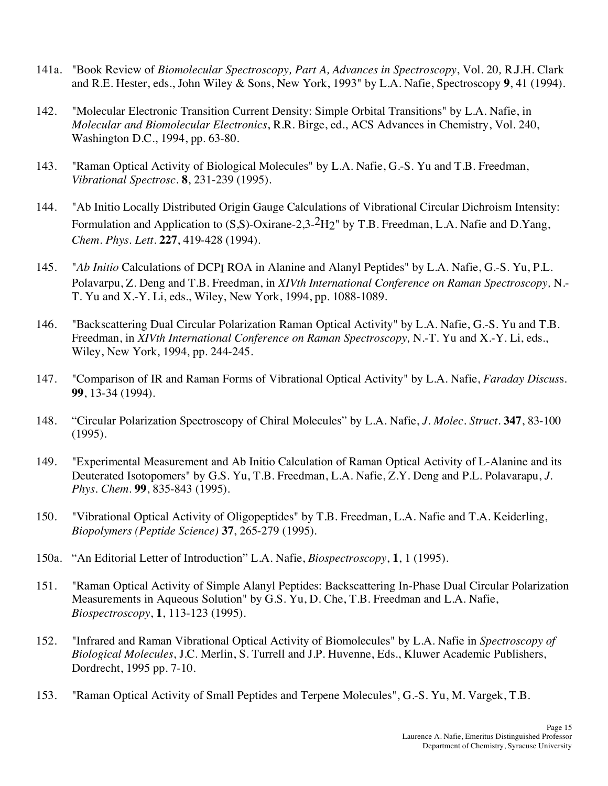- 141a. "Book Review of *Biomolecular Spectroscopy, Part A, Advances in Spectroscopy*, Vol. 20*,* R.J.H. Clark and R.E. Hester, eds., John Wiley & Sons, New York, 1993" by L.A. Nafie, Spectroscopy **9**, 41 (1994).
- 142. "Molecular Electronic Transition Current Density: Simple Orbital Transitions" by L.A. Nafie, in *Molecular and Biomolecular Electronics*, R.R. Birge, ed., ACS Advances in Chemistry, Vol. 240, Washington D.C., 1994, pp. 63-80.
- 143. "Raman Optical Activity of Biological Molecules" by L.A. Nafie, G.-S. Yu and T.B. Freedman, *Vibrational Spectrosc.* **8**, 231-239 (1995).
- 144. "Ab Initio Locally Distributed Origin Gauge Calculations of Vibrational Circular Dichroism Intensity: Formulation and Application to  $(S,S)$ -Oxirane-2,3- $^2H2$ " by T.B. Freedman, L.A. Nafie and D.Yang,  *Chem. Phys. Lett*. **227**, 419-428 (1994).
- 145. Polavarpu, Z. Deng and T.B. Freedman, in *XIVth International Conference on Raman Spectroscopy,* N.- T. Yu and X.-Y. Li, eds., Wiley, New York, 1994, pp. 1088-1089. "*Ab Initio* Calculations of DCPI ROA in Alanine and Alanyl Peptides" by L.A. Nafie, G.-S. Yu, P.L.
- 146. "Backscattering Dual Circular Polarization Raman Optical Activity" by L.A. Nafie, G.-S. Yu and T.B.  Freedman, in *XIVth International Conference on Raman Spectroscopy,* N.-T. Yu and X.-Y. Li, eds., Wiley, New York, 1994, pp. 244-245.
- 147. "Comparison of IR and Raman Forms of Vibrational Optical Activity" by L.A. Nafie, *Faraday Discus*s. **99**, 13-34 (1994).
- 148. 148. "Circular Polarization Spectroscopy of Chiral Molecules" by L.A. Nafie, *J. Molec. Struct*. **347**, 83-100 (1995).
- 149. "Experimental Measurement and Ab Initio Calculation of Raman Optical Activity of L-Alanine and its Deuterated Isotopomers" by G.S. Yu, T.B. Freedman, L.A. Nafie, Z.Y. Deng and P.L. Polavarapu, *J. Phys. Chem*. **99**, 835-843 (1995).
- 150. "Vibrational Optical Activity of Oligopeptides" by T.B. Freedman, L.A. Nafie and T.A. Keiderling,  *Biopolymers (Peptide Science)* **37**, 265-279 (1995).
- 150a. "An Editorial Letter of Introduction" L.A. Nafie, *Biospectroscopy*, **1**, 1 (1995).
- 151. Measurements in Aqueous Solution" by G.S. Yu, D. Che, T.B. Freedman and L.A. Nafie, "Raman Optical Activity of Simple Alanyl Peptides: Backscattering In-Phase Dual Circular Polarization *Biospectroscopy*, **1**, 113-123 (1995).
- 152. "Infrared and Raman Vibrational Optical Activity of Biomolecules" by L.A. Nafie in *Spectroscopy of Biological Molecules*, J.C. Merlin, S. Turrell and J.P. Huvenne, Eds., Kluwer Academic Publishers, Dordrecht, 1995 pp. 7-10.
- 153. "Raman Optical Activity of Small Peptides and Terpene Molecules", G.-S. Yu, M. Vargek, T.B.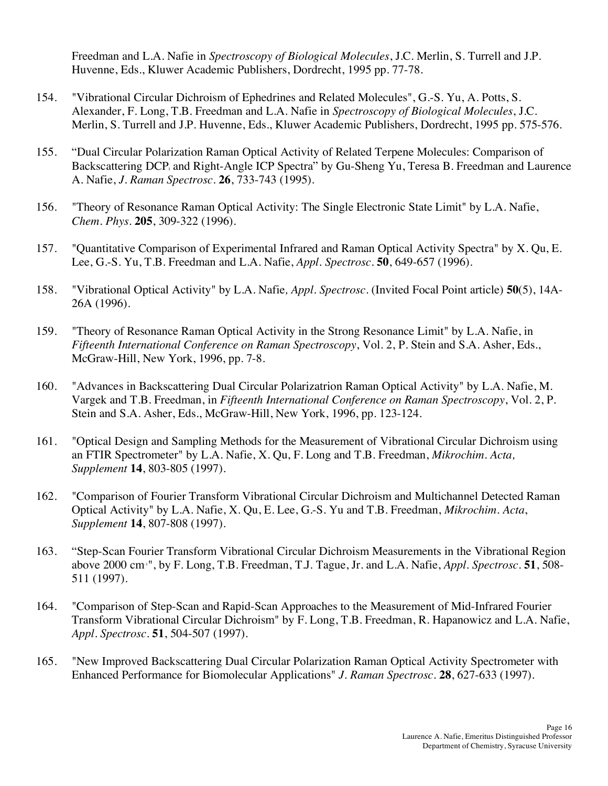Freedman and L.A. Nafie in *Spectroscopy of Biological Molecules*, J.C. Merlin, S. Turrell and J.P. Huvenne, Eds., Kluwer Academic Publishers, Dordrecht, 1995 pp. 77-78.

- 154. "Vibrational Circular Dichroism of Ephedrines and Related Molecules", G.-S. Yu, A. Potts, S. Alexander, F. Long, T.B. Freedman and L.A. Nafie in *Spectroscopy of Biological Molecules*, J.C. Merlin, S. Turrell and J.P. Huvenne, Eds., Kluwer Academic Publishers, Dordrecht, 1995 pp. 575-576.
- 155. Backscattering DCP<sub>1</sub> and Right-Angle ICP Spectra" by Gu-Sheng Yu, Teresa B. Freedman and Laurence A. Nafie, *J. Raman Spectrosc*. **26**, 733-743 (1995). 155. "Dual Circular Polarization Raman Optical Activity of Related Terpene Molecules: Comparison of
- 156. "Theory of Resonance Raman Optical Activity: The Single Electronic State Limit" by L.A. Nafie, *Chem. Phys*. **205**, 309-322 (1996).
- 157. "Quantitative Comparison of Experimental Infrared and Raman Optical Activity Spectra" by X. Qu, E. Lee, G.-S. Yu, T.B. Freedman and L.A. Nafie, *Appl. Spectrosc*. **50**, 649-657 (1996).
- 158. "Vibrational Optical Activity" by L.A. Nafie*, Appl. Spectrosc*. (Invited Focal Point article) **50**(5), 14A-26A (1996).
- 159. "Theory of Resonance Raman Optical Activity in the Strong Resonance Limit" by L.A. Nafie, in  *Fifteenth International Conference on Raman Spectroscopy*, Vol. 2, P. Stein and S.A. Asher, Eds., McGraw-Hill, New York, 1996, pp. 7-8.
- 160. "Advances in Backscattering Dual Circular Polarizatrion Raman Optical Activity" by L.A. Nafie, M. Vargek and T.B. Freedman, in *Fifteenth International Conference on Raman Spectroscopy*, Vol. 2, P. Stein and S.A. Asher, Eds., McGraw-Hill, New York, 1996, pp. 123-124.
- 161. an FTIR Spectrometer" by L.A. Nafie, X. Qu, F. Long and T.B. Freedman, *Mikrochim. Acta, Supplement* **14**, 803-805 (1997). 161. "Optical Design and Sampling Methods for the Measurement of Vibrational Circular Dichroism using
- 162. "Comparison of Fourier Transform Vibrational Circular Dichroism and Multichannel Detected Raman Optical Activity" by L.A. Nafie, X. Qu, E. Lee, G.-S. Yu and T.B. Freedman, *Mikrochim. Acta*, *Supplement* **14**, 807-808 (1997).
- 163. "Step-Scan Fourier Transform Vibrational Circular Dichroism Measurements in the Vibrational Region above 2000 cm-1", by F. Long, T.B. Freedman, T.J. Tague, Jr. and L.A. Nafie, *Appl. Spectrosc*. **51**, 508- 511 (1997).
- 164. "Comparison of Step-Scan and Rapid-Scan Approaches to the Measurement of Mid-Infrared Fourier Transform Vibrational Circular Dichroism" by F. Long, T.B. Freedman, R. Hapanowicz and L.A. Nafie, *Appl. Spectrosc*. **51**, 504-507 (1997).
- 165. Enhanced Performance for Biomolecular Applications" *J. Raman Spectrosc.* **28**, 627-633 (1997). 165. "New Improved Backscattering Dual Circular Polarization Raman Optical Activity Spectrometer with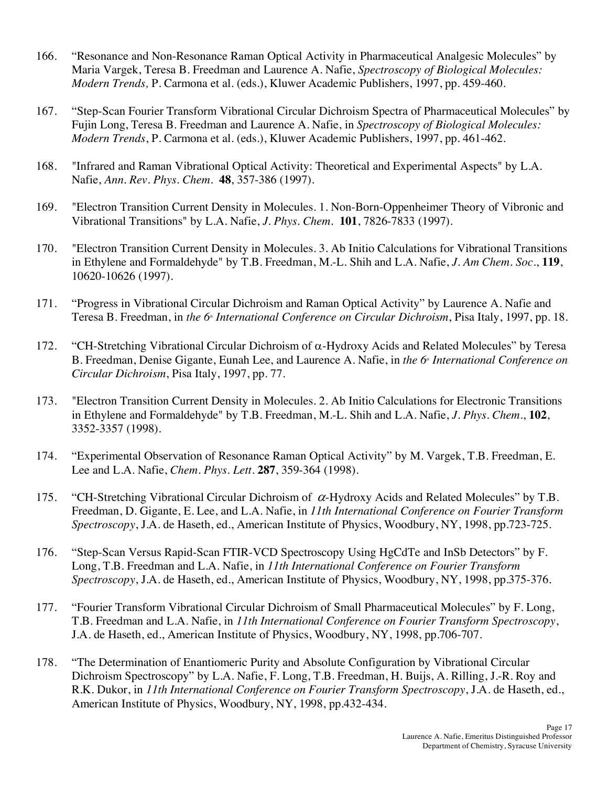- 166. Maria Vargek, Teresa B. Freedman and Laurence A. Nafie, *Spectroscopy of Biological Molecules: Modern Trends,* P. Carmona et al. (eds.), Kluwer Academic Publishers, 1997, pp. 459-460. 166. "Resonance and Non-Resonance Raman Optical Activity in Pharmaceutical Analgesic Molecules" by
- 167. Fujin Long, Teresa B. Freedman and Laurence A. Nafie, in *Spectroscopy of Biological Molecules: Modern Trends*, P. Carmona et al. (eds.), Kluwer Academic Publishers, 1997, pp. 461-462. 167. "Step-Scan Fourier Transform Vibrational Circular Dichroism Spectra of Pharmaceutical Molecules" by
- 168. "Infrared and Raman Vibrational Optical Activity: Theoretical and Experimental Aspects" by L.A.  Nafie, *Ann. Rev. Phys. Chem*. **48**, 357-386 (1997).
- 169. "Electron Transition Current Density in Molecules. 1. Non-Born-Oppenheimer Theory of Vibronic and Vibrational Transitions" by L.A. Nafie, *J. Phys. Chem*. **101**, 7826-7833 (1997).
- 170. "Electron Transition Current Density in Molecules. 3. Ab Initio Calculations for Vibrational Transitions in Ethylene and Formaldehyde" by T.B. Freedman, M.-L. Shih and L.A. Nafie, *J. Am Chem. Soc*., **119**, 10620-10626 (1997).
- 171. Teresa B. Freedman, in *the 6<sup>\*</sup> International Conference on Circular Dichroism*, Pisa Italy, 1997, pp. 18. "Progress in Vibrational Circular Dichroism and Raman Optical Activity" by Laurence A. Nafie and
- 172. "CH-Stretching Vibrational Circular Dichroism of a-Hydroxy Acids and Related Molecules" by Teresa B. Freedman, Denise Gigante, Eunah Lee, and Laurence A. Nafie, in *the 6<sup>th</sup> International Conference on Circular Dichroism*, Pisa Italy, 1997, pp. 77.
- 173. "Electron Transition Current Density in Molecules. 2. Ab Initio Calculations for Electronic Transitions in Ethylene and Formaldehyde" by T.B. Freedman, M.-L. Shih and L.A. Nafie, *J. Phys. Chem*., **102**, 3352-3357 (1998).
- 174. "Experimental Observation of Resonance Raman Optical Activity" by M. Vargek, T.B. Freedman, E. Lee and L.A. Nafie, *Chem. Phys. Lett*. **287**, 359-364 (1998).
- 175. "CH-Stretching Vibrational Circular Dichroism of  $\alpha$ -Hydroxy Acids and Related Molecules" by T.B. Freedman, D. Gigante, E. Lee, and L.A. Nafie, in *11th International Conference on Fourier Transform Spectroscopy*, J.A. de Haseth, ed., American Institute of Physics, Woodbury, NY, 1998, pp.723-725.
- 176. Long, T.B. Freedman and L.A. Nafie, in *11th International Conference on Fourier Transform Spectroscopy*, J.A. de Haseth, ed., American Institute of Physics, Woodbury, NY, 1998, pp.375-376. "Step-Scan Versus Rapid-Scan FTIR-VCD Spectroscopy Using HgCdTe and InSb Detectors" by F.
- 177. T.B. Freedman and L.A. Nafie, in *11th International Conference on Fourier Transform Spectroscopy*, J.A. de Haseth, ed., American Institute of Physics, Woodbury, NY, 1998, pp.706-707. "Fourier Transform Vibrational Circular Dichroism of Small Pharmaceutical Molecules" by F. Long,
- 178. Dichroism Spectroscopy" by L.A. Nafie, F. Long, T.B. Freedman, H. Buijs, A. Rilling, J.-R. Roy and R.K. Dukor, in *11th International Conference on Fourier Transform Spectroscopy*, J.A. de Haseth, ed., American Institute of Physics, Woodbury, NY, 1998, pp.432-434. 178. "The Determination of Enantiomeric Purity and Absolute Configuration by Vibrational Circular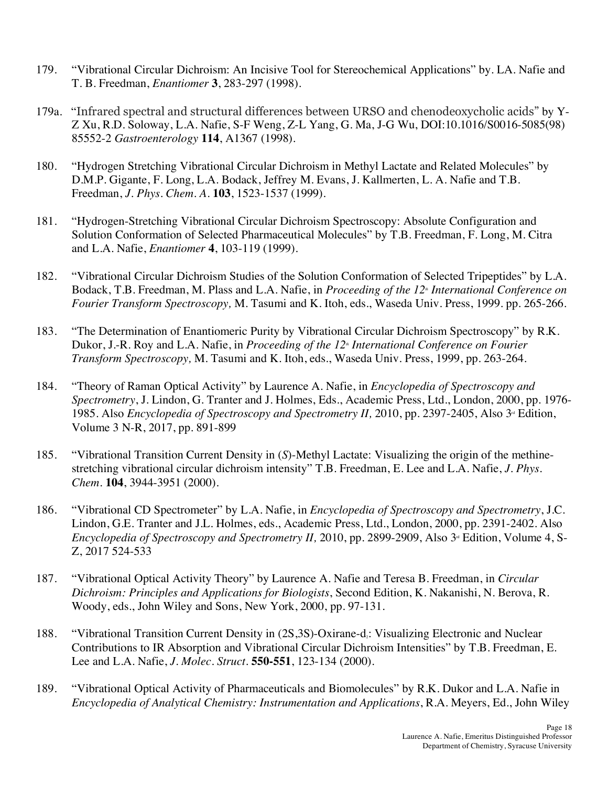- 179. "Vibrational Circular Dichroism: An Incisive Tool for Stereochemical Applications" by. LA. Nafie and T. B. Freedman, *Enantiomer* **3**, 283-297 (1998).
- 179a. "Infrared spectral and structural differences between URSO and chenodeoxycholic acids" by Y- Z Xu, R.D. Soloway, L.A. Nafie, S-F Weng, Z-L Yang, G. Ma, J-G Wu, DOI:10.1016/S0016-5085(98) 85552-2 *Gastroenterology* **114**, A1367 (1998).
- 180. "Hydrogen Stretching Vibrational Circular Dichroism in Methyl Lactate and Related Molecules" by D.M.P. Gigante, F. Long, L.A. Bodack, Jeffrey M. Evans, J. Kallmerten, L. A. Nafie and T.B.  Freedman, *J. Phys. Chem. A*. **103**, 1523-1537 (1999).
- 181. "Hydrogen-Stretching Vibrational Circular Dichroism Spectroscopy: Absolute Configuration and Solution Conformation of Selected Pharmaceutical Molecules" by T.B. Freedman, F. Long, M. Citra and L.A. Nafie, *Enantiomer* **4**, 103-119 (1999).
- 182. "Vibrational Circular Dichroism Studies of the Solution Conformation of Selected Tripeptides" by L.A. Bodack, T.B. Freedman, M. Plass and L.A. Nafie, in *Proceeding of the 12<sup>\*</sup> International Conference on Fourier Transform Spectroscopy,* M. Tasumi and K. Itoh, eds., Waseda Univ. Press, 1999. pp. 265-266.
- 183. Dukor, J.-R. Roy and L.A. Nafie, in *Proceeding of the 12<sup>\*</sup> International Conference on Fourier Transform Spectroscopy,* M. Tasumi and K. Itoh, eds., Waseda Univ. Press, 1999, pp. 263-264. "The Determination of Enantiomeric Purity by Vibrational Circular Dichroism Spectroscopy" by R.K.
- 184. *Spectrometry*, J. Lindon, G. Tranter and J. Holmes, Eds., Academic Press, Ltd., London, 2000, pp. 1976- 1985. Also *Encyclopedia of Spectroscopy and Spectrometry II*, 2010, pp. 2397-2405, Also 3<sup>rd</sup> Edition, Volume 3 N-R, 2017, pp. 891-899 184. "Theory of Raman Optical Activity" by Laurence A. Nafie, in *Encyclopedia of Spectroscopy and*
- 185. "Vibrational Transition Current Density in (*S*)-Methyl Lactate: Visualizing the origin of the methine- stretching vibrational circular dichroism intensity" T.B. Freedman, E. Lee and L.A. Nafie, *J. Phys. Chem.* **104**, 3944-3951 (2000).
- 186. "Vibrational CD Spectrometer" by L.A. Nafie, in *Encyclopedia of Spectroscopy and Spectrometry*, J.C. Lindon, G.E. Tranter and J.L. Holmes, eds., Academic Press, Ltd., London, 2000, pp. 2391-2402. Also *Encyclopedia of Spectroscopy and Spectrometry II,* 2010, pp. 2899-2909, Also 3<sup>rd</sup> Edition, Volume 4, S-Z, 2017 524-533
- 187. "Vibrational Optical Activity Theory" by Laurence A. Nafie and Teresa B. Freedman, in *Circular Dichroism: Principles and Applications for Biologists*, Second Edition, K. Nakanishi, N. Berova, R. Woody, eds., John Wiley and Sons, New York, 2000, pp. 97-131.
- 188. "Vibrational Transition Current Density in (2S,3S)-Oxirane-d<sub>i</sub>: Visualizing Electronic and Nuclear Contributions to IR Absorption and Vibrational Circular Dichroism Intensities" by T.B. Freedman, E. Lee and L.A. Nafie, *J. Molec. Struct*. **550-551**, 123-134 (2000).
- 189. "Vibrational Optical Activity of Pharmaceuticals and Biomolecules" by R.K. Dukor and L.A. Nafie in  *Encyclopedia of Analytical Chemistry: Instrumentation and Applications*, R.A. Meyers, Ed., John Wiley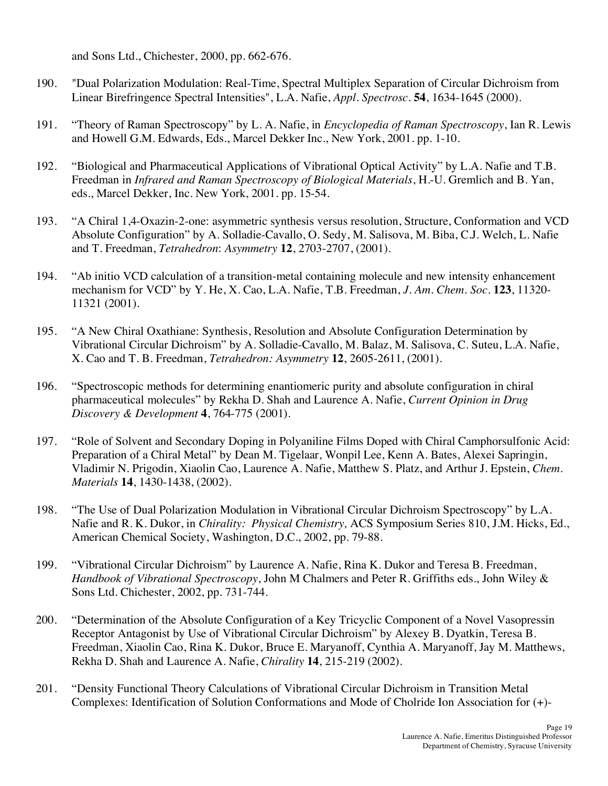and Sons Ltd., Chichester, 2000, pp. 662-676.

- 190. Linear Birefringence Spectral Intensities", L.A. Nafie, *Appl. Spectrosc*. **54**, 1634-1645 (2000). 190. "Dual Polarization Modulation: Real-Time, Spectral Multiplex Separation of Circular Dichroism from
- 191. "Theory of Raman Spectroscopy" by L. A. Nafie, in *Encyclopedia of Raman Spectroscopy*, Ian R. Lewis and Howell G.M. Edwards, Eds., Marcel Dekker Inc., New York, 2001. pp. 1-10.
- 192. "Biological and Pharmaceutical Applications of Vibrational Optical Activity" by L.A. Nafie and T.B.  Freedman in *Infrared and Raman Spectroscopy of Biological Materials*, H.-U. Gremlich and B. Yan, eds., Marcel Dekker, Inc. New York, 2001. pp. 15-54.
- 193. Absolute Configuration" by A. Solladie-Cavallo, O. Sedy, M. Salisova, M. Biba, C.J. Welch, L. Nafie and T. Freedman, *Tetrahedron*: *Asymmetry* **12**, 2703-2707, (2001). 193. "A Chiral 1,4-Oxazin-2-one: asymmetric synthesis versus resolution, Structure, Conformation and VCD
- 194. "Ab initio VCD calculation of a transition-metal containing molecule and new intensity enhancement mechanism for VCD" by Y. He, X. Cao, L.A. Nafie, T.B. Freedman, *J. Am. Chem. Soc*. **123**, 11320- 11321 (2001).
- 195. Vibrational Circular Dichroism" by A. Solladie-Cavallo, M. Balaz, M. Salisova, C. Suteu, L.A. Nafie, X. Cao and T. B. Freedman, *Tetrahedron: Asymmetry* **12**, 2605-2611, (2001). 195. "A New Chiral Oxathiane: Synthesis, Resolution and Absolute Configuration Determination by
- 196. "Spectroscopic methods for determining enantiomeric purity and absolute configuration in chiral pharmaceutical molecules" by Rekha D. Shah and Laurence A. Nafie, *Current Opinion in Drug Discovery & Development* **4**, 764-775 (2001).
- 197. Preparation of a Chiral Metal" by Dean M. Tigelaar, Wonpil Lee, Kenn A. Bates, Alexei Sapringin, Vladimir N. Prigodin, Xiaolin Cao, Laurence A. Nafie, Matthew S. Platz, and Arthur J. Epstein, *Chem. Materials* **14**, 1430-1438, (2002). 197. "Role of Solvent and Secondary Doping in Polyaniline Films Doped with Chiral Camphorsulfonic Acid:
- 198. Nafie and R. K. Dukor, in *Chirality: Physical Chemistry,* ACS Symposium Series 810, J.M. Hicks, Ed., American Chemical Society, Washington, D.C., 2002, pp. 79-88. "The Use of Dual Polarization Modulation in Vibrational Circular Dichroism Spectroscopy" by L.A.
- 199. "Vibrational Circular Dichroism" by Laurence A. Nafie, Rina K. Dukor and Teresa B. Freedman,  *Handbook of Vibrational Spectroscopy*, John M Chalmers and Peter R. Griffiths eds., John Wiley & Sons Ltd. Chichester, 2002, pp. 731-744.
- 200. "Determination of the Absolute Configuration of a Key Tricyclic Component of a Novel Vasopressin Receptor Antagonist by Use of Vibrational Circular Dichroism" by Alexey B. Dyatkin, Teresa B. Freedman, Xiaolin Cao, Rina K. Dukor, Bruce E. Maryanoff, Cynthia A. Maryanoff, Jay M. Matthews, Rekha D. Shah and Laurence A. Nafie, *Chirality* **14**, 215-219 (2002).
- 201. "Density Functional Theory Calculations of Vibrational Circular Dichroism in Transition Metal Complexes: Identification of Solution Conformations and Mode of Cholride Ion Association for (+)-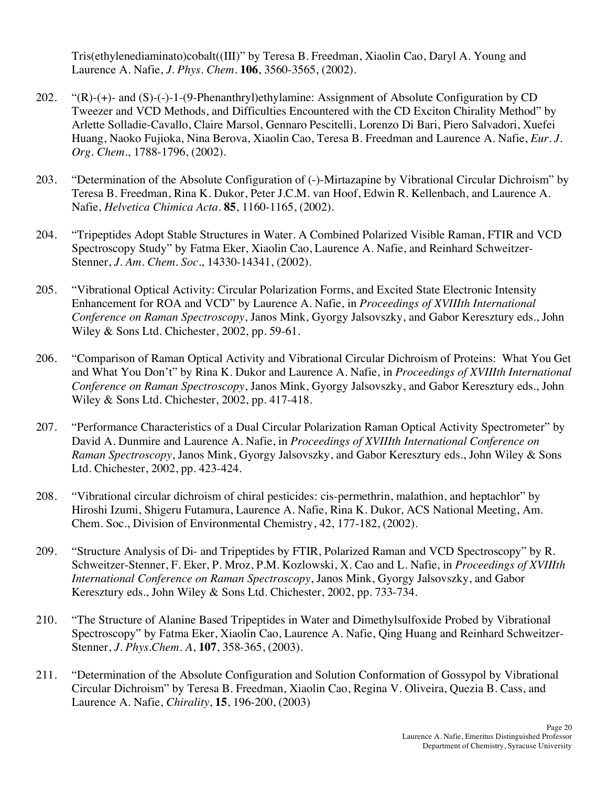Tris(ethylenediaminato)cobalt((III)" by Teresa B. Freedman, Xiaolin Cao, Daryl A. Young and Laurence A. Nafie, *J. Phys. Chem*. **106**, 3560-3565, (2002).

- 202. Tweezer and VCD Methods, and Difficulties Encountered with the CD Exciton Chirality Method" by Arlette Solladie-Cavallo, Claire Marsol, Gennaro Pescitelli, Lorenzo Di Bari, Piero Salvadori, Xuefei Huang, Naoko Fujioka, Nina Berova, Xiaolin Cao, Teresa B. Freedman and Laurence A. Nafie, *Eur. J. Org. Chem*., 1788-1796, (2002).  $C(R)$ -(+)- and  $(S)$ -(-)-1-(9-Phenanthryl)ethylamine: Assignment of Absolute Configuration by CD
- 203. "Determination of the Absolute Configuration of (-)-Mirtazapine by Vibrational Circular Dichroism" by Teresa B. Freedman, Rina K. Dukor, Peter J.C.M. van Hoof, Edwin R. Kellenbach, and Laurence A. Nafie, *Helvetica Chimica Acta*. **85**, 1160-1165, (2002).
- 204. "Tripeptides Adopt Stable Structures in Water. A Combined Polarized Visible Raman, FTIR and VCD Spectroscopy Study" by Fatma Eker, Xiaolin Cao, Laurence A. Nafie, and Reinhard Schweitzer- Stenner, *J. Am. Chem. Soc*., 14330-14341, (2002).
- 205. Enhancement for ROA and VCD" by Laurence A. Nafie, in *Proceedings of XVIIIth International Conference on Raman Spectroscopy*, Janos Mink, Gyorgy Jalsovszky, and Gabor Keresztury eds., John Wiley & Sons Ltd. Chichester, 2002, pp. 59-61. "Vibrational Optical Activity: Circular Polarization Forms, and Excited State Electronic Intensity
- 206. "Comparison of Raman Optical Activity and Vibrational Circular Dichroism of Proteins: What You Get and What You Don't" by Rina K. Dukor and Laurence A. Nafie, in *Proceedings of XVIIIth International Conference on Raman Spectroscopy*, Janos Mink, Gyorgy Jalsovszky, and Gabor Keresztury eds., John Wiley & Sons Ltd. Chichester, 2002, pp. 417-418.
- 207. "Performance Characteristics of a Dual Circular Polarization Raman Optical Activity Spectrometer" by David A. Dunmire and Laurence A. Nafie, in *Proceedings of XVIIIth International Conference on Raman Spectroscopy*, Janos Mink, Gyorgy Jalsovszky, and Gabor Keresztury eds., John Wiley & Sons Ltd. Chichester, 2002, pp. 423-424.
- 208. "Vibrational circular dichroism of chiral pesticides: cis-permethrin, malathion, and heptachlor" by Hiroshi Izumi, Shigeru Futamura, Laurence A. Nafie, Rina K. Dukor, ACS National Meeting, Am. Chem. Soc., Division of Environmental Chemistry, 42, 177-182, (2002).
- 209. "Structure Analysis of Di- and Tripeptides by FTIR, Polarized Raman and VCD Spectroscopy" by R. Schweitzer-Stenner, F. Eker, P. Mroz, P.M. Kozlowski, X. Cao and L. Nafie, in *Proceedings of XVIIIth International Conference on Raman Spectroscopy*, Janos Mink, Gyorgy Jalsovszky, and Gabor Keresztury eds., John Wiley & Sons Ltd. Chichester, 2002, pp. 733-734.
- 210. Spectroscopy" by Fatma Eker, Xiaolin Cao, Laurence A. Nafie, Qing Huang and Reinhard Schweitzer- Stenner, *J. Phys.Chem. A*, **107**, 358-365, (2003). 210. "The Structure of Alanine Based Tripeptides in Water and Dimethylsulfoxide Probed by Vibrational
- 211. "Determination of the Absolute Configuration and Solution Conformation of Gossypol by Vibrational Circular Dichroism" by Teresa B. Freedman, Xiaolin Cao, Regina V. Oliveira, Quezia B. Cass, and Laurence A. Nafie, *Chirality*, **15**, 196-200, (2003)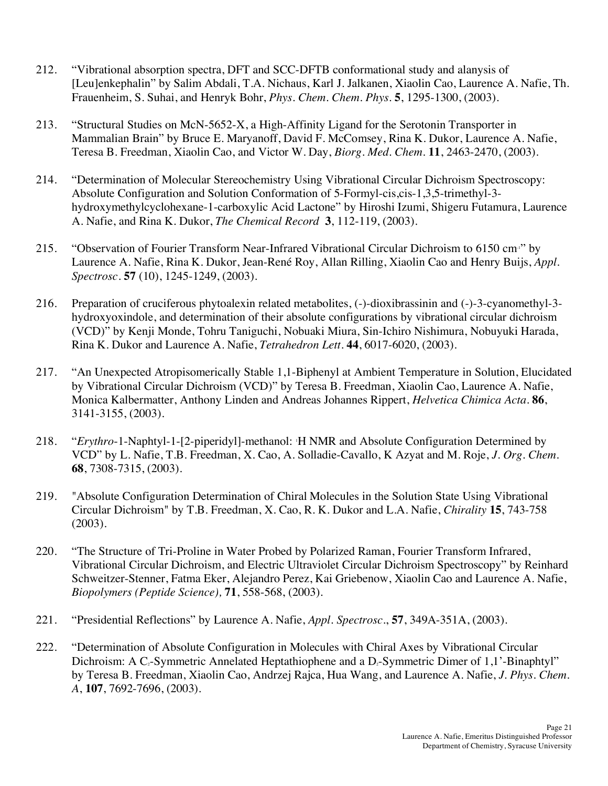- 212. "Vibrational absorption spectra, DFT and SCC-DFTB conformational study and alanysis of [Leu]enkephalin" by Salim Abdali, T.A. Nichaus, Karl J. Jalkanen, Xiaolin Cao, Laurence A. Nafie, Th. Frauenheim, S. Suhai, and Henryk Bohr, *Phys. Chem. Chem. Phys*. **5**, 1295-1300, (2003).
- 213. "Structural Studies on McN-5652-X, a High-Affinity Ligand for the Serotonin Transporter in Mammalian Brain" by Bruce E. Maryanoff, David F. McComsey, Rina K. Dukor, Laurence A. Nafie, Teresa B. Freedman, Xiaolin Cao, and Victor W. Day, *Biorg. Med. Chem*. **11**, 2463-2470, (2003).
- 214. "Determination of Molecular Stereochemistry Using Vibrational Circular Dichroism Spectroscopy: hydroxymethylcyclohexane-1-carboxylic Acid Lactone" by Hiroshi Izumi, Shigeru Futamura, Laurence A. Nafie, and Rina K. Dukor, *The Chemical Record* **3**, 112-119, (2003). Absolute Configuration and Solution Conformation of 5-Formyl-cis,cis-1,3,5-trimethyl-3-
- 215. "Observation of Fourier Transform Near-Infrared Vibrational Circular Dichroism to 6150 cm<sup>1</sup> by Laurence A. Nafie, Rina K. Dukor, Jean-René Roy, Allan Rilling, Xiaolin Cao and Henry Buijs, *Appl. Spectrosc*. **57** (10), 1245-1249, (2003).
- 216. Preparation of cruciferous phytoalexin related metabolites, (-)-dioxibrassinin and (-)-3-cyanomethyl-3- hydroxyoxindole, and determination of their absolute configurations by vibrational circular dichroism (VCD)" by Kenji Monde, Tohru Taniguchi, Nobuaki Miura, Sin-Ichiro Nishimura, Nobuyuki Harada, Rina K. Dukor and Laurence A. Nafie, *Tetrahedron Lett*. **44**, 6017-6020, (2003).
- 217. "An Unexpected Atropisomerically Stable 1,1-Biphenyl at Ambient Temperature in Solution, Elucidated by Vibrational Circular Dichroism (VCD)" by Teresa B. Freedman, Xiaolin Cao, Laurence A. Nafie, Monica Kalbermatter, Anthony Linden and Andreas Johannes Rippert, *Helvetica Chimica Acta*. **86**, 3141-3155, (2003).
- 218. "*Erythro*-1-Naphtyl-1-[2-piperidyl]-methanol: 1 H NMR and Absolute Configuration Determined by VCD" by L. Nafie, T.B. Freedman, X. Cao, A. Solladie-Cavallo, K Azyat and M. Roje, *J. Org. Chem*. **68**, 7308-7315, (2003).
- 219. "Absolute Configuration Determination of Chiral Molecules in the Solution State Using Vibrational Circular Dichroism" by T.B. Freedman, X. Cao, R. K. Dukor and L.A. Nafie, *Chirality* **15**, 743-758 (2003).
- 220. Vibrational Circular Dichroism, and Electric Ultraviolet Circular Dichroism Spectroscopy" by Reinhard Schweitzer-Stenner, Fatma Eker, Alejandro Perez, Kai Griebenow, Xiaolin Cao and Laurence A. Nafie,  *Biopolymers (Peptide Science),* **71**, 558-568, (2003). "The Structure of Tri-Proline in Water Probed by Polarized Raman, Fourier Transform Infrared,
- 221. "Presidential Reflections" by Laurence A. Nafie, *Appl. Spectrosc*., **57**, 349A-351A, (2003).
- 222. "Determination of Absolute Configuration in Molecules with Chiral Axes by Vibrational Circular Dichroism: A  $C_2$ -Symmetric Annelated Heptathiophene and a  $D_2$ -Symmetric Dimer of 1,1'-Binaphtyl'' by Teresa B. Freedman, Xiaolin Cao, Andrzej Rajca, Hua Wang, and Laurence A. Nafie, *J. Phys. Chem. A*, **107**, 7692-7696, (2003).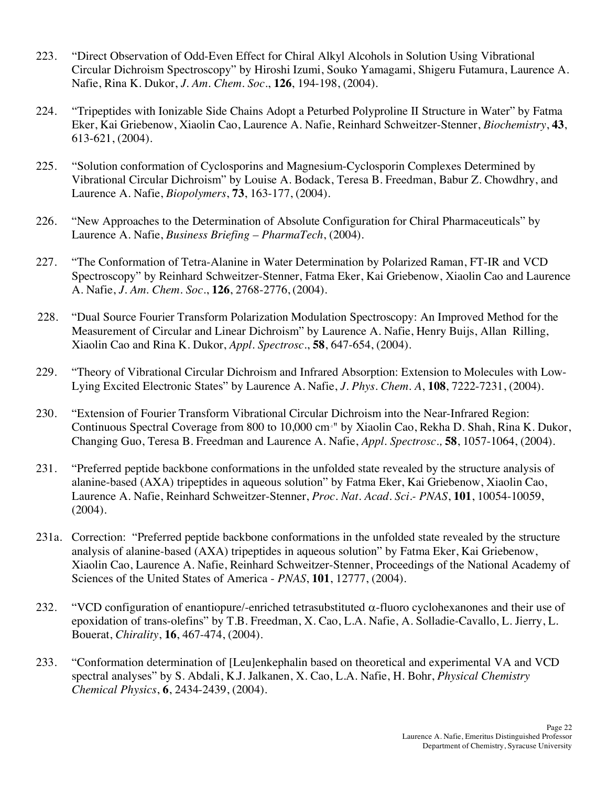- 223. Circular Dichroism Spectroscopy" by Hiroshi Izumi, Souko Yamagami, Shigeru Futamura, Laurence A. Nafie, Rina K. Dukor, *J. Am. Chem. Soc*., **126**, 194-198, (2004). 223. "Direct Observation of Odd-Even Effect for Chiral Alkyl Alcohols in Solution Using Vibrational
- 224. Eker, Kai Griebenow, Xiaolin Cao, Laurence A. Nafie, Reinhard Schweitzer-Stenner, *Biochemistry*, **43**, 613-621, (2004). 224. "Tripeptides with Ionizable Side Chains Adopt a Peturbed Polyproline II Structure in Water" by Fatma
- 225. Vibrational Circular Dichroism" by Louise A. Bodack, Teresa B. Freedman, Babur Z. Chowdhry, and Laurence A. Nafie, *Biopolymers*, **73**, 163-177, (2004). 225. "Solution conformation of Cyclosporins and Magnesium-Cyclosporin Complexes Determined by
- 226. Laurence A. Nafie, *Business Briefing – PharmaTech*, (2004). 226. "New Approaches to the Determination of Absolute Configuration for Chiral Pharmaceuticals" by
- 227. Spectroscopy" by Reinhard Schweitzer-Stenner, Fatma Eker, Kai Griebenow, Xiaolin Cao and Laurence A. Nafie, *J. Am. Chem. Soc*., **126**, 2768-2776, (2004). "The Conformation of Tetra-Alanine in Water Determination by Polarized Raman, FT-IR and VCD
- 228. "Dual Source Fourier Transform Polarization Modulation Spectroscopy: An Improved Method for the Measurement of Circular and Linear Dichroism" by Laurence A. Nafie, Henry Buijs, Allan Rilling, Xiaolin Cao and Rina K. Dukor, *Appl. Spectrosc*., **58**, 647-654, (2004).
- 229. "Theory of Vibrational Circular Dichroism and Infrared Absorption: Extension to Molecules with Low-Lying Excited Electronic States" by Laurence A. Nafie, *J. Phys. Chem. A*, **108**, 7222-7231, (2004).
- 230. "Extension of Fourier Transform Vibrational Circular Dichroism into the Near-Infrared Region: Continuous Spectral Coverage from 800 to 10,000 cm-1" by Xiaolin Cao, Rekha D. Shah, Rina K. Dukor, Changing Guo, Teresa B. Freedman and Laurence A. Nafie, *Appl. Spectrosc.,* **58**, 1057-1064, (2004).
- 231. "Preferred peptide backbone conformations in the unfolded state revealed by the structure analysis of alanine-based (AXA) tripeptides in aqueous solution" by Fatma Eker, Kai Griebenow, Xiaolin Cao, Laurence A. Nafie, Reinhard Schweitzer-Stenner, *Proc. Nat. Acad. Sci.- PNAS*, **101**, 10054-10059, (2004).
- 231a. Correction: "Preferred peptide backbone conformations in the unfolded state revealed by the structure analysis of alanine-based (AXA) tripeptides in aqueous solution" by Fatma Eker, Kai Griebenow, Xiaolin Cao, Laurence A. Nafie, Reinhard Schweitzer-Stenner, Proceedings of the National Academy of Sciences of the United States of America - *PNAS*, **101**, 12777, (2004).
- 232. epoxidation of trans-olefins" by T.B. Freedman, X. Cao, L.A. Nafie, A. Solladie-Cavallo, L. Jierry, L. Bouerat, *Chirality*, **16**, 467-474, (2004). "VCD configuration of enantiopure/-enriched tetrasubstituted  $\alpha$ -fluoro cyclohexanones and their use of
- 233. "Conformation determination of [Leu]enkephalin based on theoretical and experimental VA and VCD spectral analyses" by S. Abdali, K.J. Jalkanen, X. Cao, L.A. Nafie, H. Bohr, *Physical Chemistry Chemical Physics*, **6**, 2434-2439, (2004).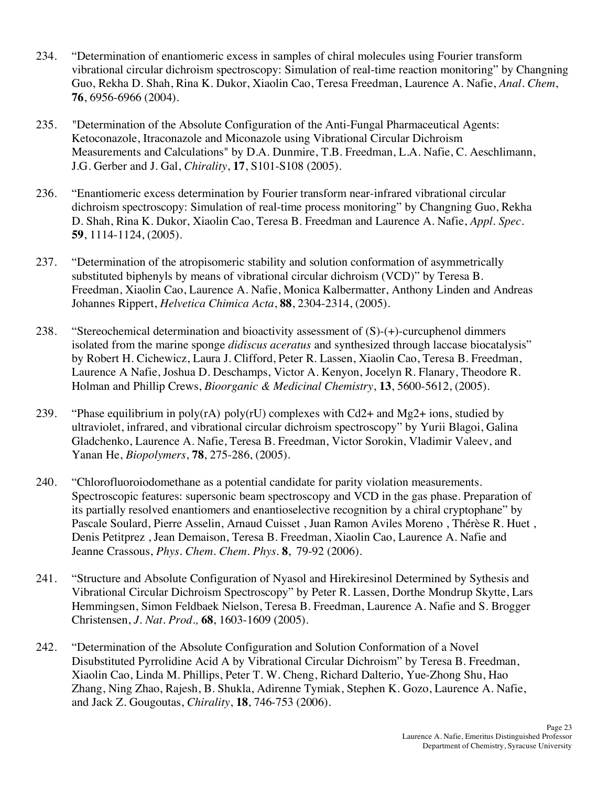- 234. "Determination of enantiomeric excess in samples of chiral molecules using Fourier transform vibrational circular dichroism spectroscopy: Simulation of real-time reaction monitoring" by Changning Guo, Rekha D. Shah, Rina K. Dukor, Xiaolin Cao, Teresa Freedman, Laurence A. Nafie, *Anal. Chem*, **76**, 6956-6966 (2004).
- 235. Ketoconazole, Itraconazole and Miconazole using Vibrational Circular Dichroism Measurements and Calculations" by D.A. Dunmire, T.B. Freedman, L.A. Nafie, C. Aeschlimann, J.G. Gerber and J. Gal, *Chirality*, **17**, S101-S108 (2005). 235. "Determination of the Absolute Configuration of the Anti-Fungal Pharmaceutical Agents:
- 236. "Enantiomeric excess determination by Fourier transform near-infrared vibrational circular dichroism spectroscopy: Simulation of real-time process monitoring" by Changning Guo, Rekha D. Shah, Rina K. Dukor, Xiaolin Cao, Teresa B. Freedman and Laurence A. Nafie, *Appl. Spec*. **59**, 1114-1124, (2005).
- 237. "Determination of the atropisomeric stability and solution conformation of asymmetrically substituted biphenyls by means of vibrational circular dichroism (VCD)" by Teresa B. Freedman, Xiaolin Cao, Laurence A. Nafie, Monica Kalbermatter, Anthony Linden and Andreas Johannes Rippert, *Helvetica Chimica Acta*, **88**, 2304-2314, (2005).
- 238. "Stereochemical determination and bioactivity assessment of (S)-(+)-curcuphenol dimmers isolated from the marine sponge *didiscus aceratus* and synthesized through laccase biocatalysis" by Robert H. Cichewicz, Laura J. Clifford, Peter R. Lassen, Xiaolin Cao, Teresa B. Freedman, Laurence A Nafie, Joshua D. Deschamps, Victor A. Kenyon, Jocelyn R. Flanary, Theodore R.  Holman and Phillip Crews, *Bioorganic & Medicinal Chemistry*, **13**, 5600-5612, (2005).
- 239. ultraviolet, infrared, and vibrational circular dichroism spectroscopy" by Yurii Blagoi, Galina Gladchenko, Laurence A. Nafie, Teresa B. Freedman, Victor Sorokin, Vladimir Valeev, and Yanan He, *Biopolymers*, **78**, 275-286, (2005). "Phase equilibrium in poly(rA) poly(rU) complexes with Cd2+ and Mg2+ ions, studied by
- 240. "Chlorofluoroiodomethane as a potential candidate for parity violation measurements. Spectroscopic features: supersonic beam spectroscopy and VCD in the gas phase. Preparation of its partially resolved enantiomers and enantioselective recognition by a chiral cryptophane" by Pascale Soulard, Pierre Asselin, Arnaud Cuisset , Juan Ramon Aviles Moreno , Thérèse R. Huet , Denis Petitprez , Jean Demaison, Teresa B. Freedman, Xiaolin Cao, Laurence A. Nafie and Jeanne Crassous, *Phys. Chem. Chem. Phys.* **8**, 79-92 (2006).
- 241. "Structure and Absolute Configuration of Nyasol and Hirekiresinol Determined by Sythesis and Vibrational Circular Dichroism Spectroscopy" by Peter R. Lassen, Dorthe Mondrup Skytte, Lars Hemmingsen, Simon Feldbaek Nielson, Teresa B. Freedman, Laurence A. Nafie and S. Brogger  Christensen, *J. Nat. Prod.,* **68**, 1603-1609 (2005).
- 242. "Determination of the Absolute Configuration and Solution Conformation of a Novel Disubstituted Pyrrolidine Acid A by Vibrational Circular Dichroism" by Teresa B. Freedman, Xiaolin Cao, Linda M. Phillips, Peter T. W. Cheng, Richard Dalterio, Yue-Zhong Shu, Hao Zhang, Ning Zhao, Rajesh, B. Shukla, Adirenne Tymiak, Stephen K. Gozo, Laurence A. Nafie, and Jack Z. Gougoutas, *Chirality*, **18**, 746-753 (2006).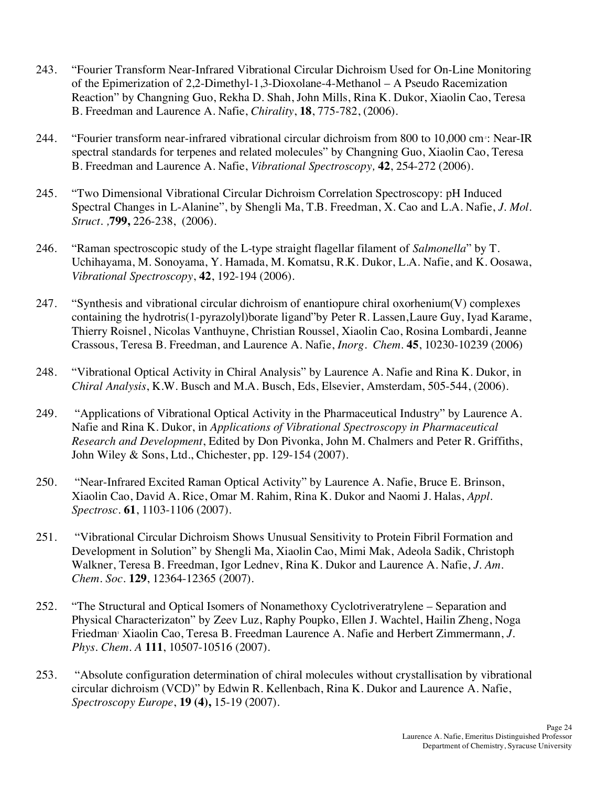- 243. "Fourier Transform Near-Infrared Vibrational Circular Dichroism Used for On-Line Monitoring of the Epimerization of 2,2-Dimethyl-1,3-Dioxolane-4-Methanol – A Pseudo Racemization Reaction" by Changning Guo, Rekha D. Shah, John Mills, Rina K. Dukor, Xiaolin Cao, Teresa B. Freedman and Laurence A. Nafie, *Chirality*, **18**, 775-782, (2006).
- 244. "Fourier transform near-infrared vibrational circular dichroism from 800 to 10,000 cm<sup>-1</sup>: Near-IR spectral standards for terpenes and related molecules" by Changning Guo, Xiaolin Cao, Teresa B. Freedman and Laurence A. Nafie, *Vibrational Spectroscopy,* **42**, 254-272 (2006).
- 245. "Two Dimensional Vibrational Circular Dichroism Correlation Spectroscopy: pH Induced Spectral Changes in L-Alanine", by Shengli Ma, T.B. Freedman, X. Cao and L.A. Nafie, *J. Mol. Struct. ,***799,** 226-238, (2006).
- 246. "Raman spectroscopic study of the L-type straight flagellar filament of *Salmonella*" by T. Uchihayama, M. Sonoyama, Y. Hamada, M. Komatsu, R.K. Dukor, L.A. Nafie, and K. Oosawa, *Vibrational Spectroscopy*, **42**, 192-194 (2006).
- 247. "Synthesis and vibrational circular dichroism of enantiopure chiral oxorhenium(V) complexes containing the hydrotris(1-pyrazolyl)borate ligand"by Peter R. Lassen,Laure Guy, Iyad Karame, Thierry Roisnel, Nicolas Vanthuyne, Christian Roussel, Xiaolin Cao, Rosina Lombardi, Jeanne Crassous, Teresa B. Freedman, and Laurence A. Nafie, *Inorg. Chem.* **45**, 10230-10239 (2006)
- 248. "Vibrational Optical Activity in Chiral Analysis" by Laurence A. Nafie and Rina K. Dukor, in *Chiral Analysis*, K.W. Busch and M.A. Busch, Eds, Elsevier, Amsterdam, 505-544, (2006).
- 249. "Applications of Vibrational Optical Activity in the Pharmaceutical Industry" by Laurence A. Nafie and Rina K. Dukor, in *Applications of Vibrational Spectroscopy in Pharmaceutical Research and Development*, Edited by Don Pivonka, John M. Chalmers and Peter R. Griffiths, John Wiley & Sons, Ltd., Chichester, pp. 129-154 (2007).
- 250. "Near-Infrared Excited Raman Optical Activity" by Laurence A. Nafie, Bruce E. Brinson, Xiaolin Cao, David A. Rice, Omar M. Rahim, Rina K. Dukor and Naomi J. Halas, *Appl. Spectrosc.* **61**, 1103-1106 (2007).
- 251. "Vibrational Circular Dichroism Shows Unusual Sensitivity to Protein Fibril Formation and Development in Solution" by Shengli Ma, Xiaolin Cao, Mimi Mak, Adeola Sadik, Christoph Walkner, Teresa B. Freedman, Igor Lednev, Rina K. Dukor and Laurence A. Nafie, *J. Am. Chem. Soc.* **129**, 12364-12365 (2007).
- 252. "The Structural and Optical Isomers of Nonamethoxy Cyclotriveratrylene Separation and Physical Characterizaton" by Zeev Luz, Raphy Poupko, Ellen J. Wachtel, Hailin Zheng, Noga Friedman<sup>*N*</sup> Xiaolin Cao, Teresa B. Freedman Laurence A. Nafie and Herbert Zimmermann, *J. Phys. Chem. A* **111**, 10507-10516 (2007).
- 253. "Absolute configuration determination of chiral molecules without crystallisation by vibrational circular dichroism (VCD)" by Edwin R. Kellenbach, Rina K. Dukor and Laurence A. Nafie, *Spectroscopy Europe*, **19 (4),** 15-19 (2007).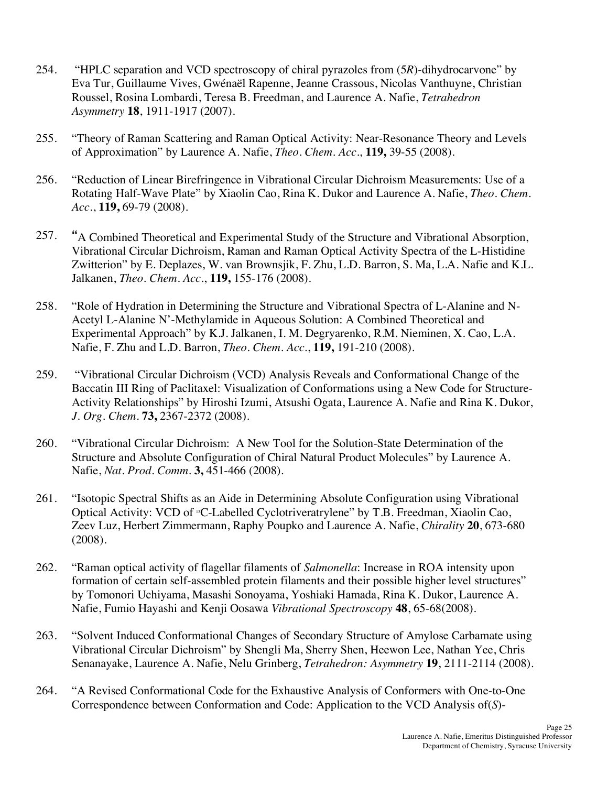- 254. "HPLC separation and VCD spectroscopy of chiral pyrazoles from (5*R*)-dihydrocarvone" by Eva Tur, Guillaume Vives, Gwénaël Rapenne, Jeanne Crassous, Nicolas Vanthuyne, Christian Roussel, Rosina Lombardi, Teresa B. Freedman, and Laurence A. Nafie, *Tetrahedron Asymmetry* **18**, 1911-1917 (2007).
- 255. "Theory of Raman Scattering and Raman Optical Activity: Near-Resonance Theory and Levels of Approximation" by Laurence A. Nafie, *Theo. Chem. Acc.*, **119,** 39-55 (2008).
- 256. "Reduction of Linear Birefringence in Vibrational Circular Dichroism Measurements: Use of a Rotating Half-Wave Plate" by Xiaolin Cao, Rina K. Dukor and Laurence A. Nafie, *Theo. Chem.*   *Acc.*, **119,** 69-79 (2008).
- 257. **"**A Combined Theoretical and Experimental Study of the Structure and Vibrational Absorption, Vibrational Circular Dichroism, Raman and Raman Optical Activity Spectra of the L-Histidine Zwitterion" by E. Deplazes, W. van Brownsjik, F. Zhu, L.D. Barron, S. Ma, L.A. Nafie and K.L.  Jalkanen, *Theo. Chem. Acc.*, **119,** 155-176 (2008).
- 258. "Role of Hydration in Determining the Structure and Vibrational Spectra of L-Alanine and N- Acetyl L-Alanine N'-Methylamide in Aqueous Solution: A Combined Theoretical and Experimental Approach" by K.J. Jalkanen, I. M. Degryarenko, R.M. Nieminen, X. Cao, L.A. Nafie, F. Zhu and L.D. Barron, *Theo. Chem. Acc.*, **119,** 191-210 (2008).
- 259. "Vibrational Circular Dichroism (VCD) Analysis Reveals and Conformational Change of the Baccatin III Ring of Paclitaxel: Visualization of Conformations using a New Code for Structure- Activity Relationships" by Hiroshi Izumi, Atsushi Ogata, Laurence A. Nafie and Rina K. Dukor,  *J. Org. Chem.* **73,** 2367-2372 (2008).
- 260. "Vibrational Circular Dichroism: A New Tool for the Solution-State Determination of the Structure and Absolute Configuration of Chiral Natural Product Molecules" by Laurence A.  Nafie, *Nat. Prod. Comm.* **3,** 451-466 (2008).
- 261. "Isotopic Spectral Shifts as an Aide in Determining Absolute Configuration using Vibrational Optical Activity: VCD of 13C-Labelled Cyclotriveratrylene" by T.B. Freedman, Xiaolin Cao, Zeev Luz, Herbert Zimmermann, Raphy Poupko and Laurence A. Nafie, *Chirality* **20**, 673-680 (2008).
- 262. "Raman optical activity of flagellar filaments of *Salmonella*: Increase in ROA intensity upon formation of certain self-assembled protein filaments and their possible higher level structures" by Tomonori Uchiyama, Masashi Sonoyama, Yoshiaki Hamada, Rina K. Dukor, Laurence A. Nafie, Fumio Hayashi and Kenji Oosawa *Vibrational Spectroscopy* **48**, 65-68(2008).
- 263. "Solvent Induced Conformational Changes of Secondary Structure of Amylose Carbamate using Vibrational Circular Dichroism" by Shengli Ma, Sherry Shen, Heewon Lee, Nathan Yee, Chris Senanayake, Laurence A. Nafie, Nelu Grinberg, *Tetrahedron: Asymmetry* **19**, 2111-2114 (2008).
- 264. "A Revised Conformational Code for the Exhaustive Analysis of Conformers with One-to-One Correspondence between Conformation and Code: Application to the VCD Analysis of(*S*)-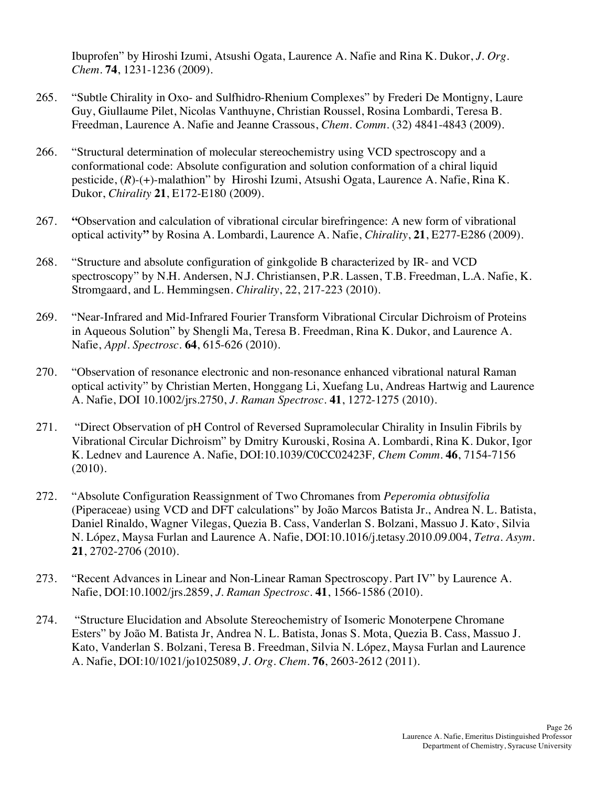Ibuprofen" by Hiroshi Izumi, Atsushi Ogata, Laurence A. Nafie and Rina K. Dukor, *J. Org. Chem*. **74**, 1231-1236 (2009).

- 265. "Subtle Chirality in Oxo- and Sulfhidro-Rhenium Complexes" by Frederi De Montigny, Laure Guy, Giullaume Pilet, Nicolas Vanthuyne, Christian Roussel, Rosina Lombardi, Teresa B. Freedman, Laurence A. Nafie and Jeanne Crassous, *Chem. Comm*. (32) 4841-4843 (2009).
- 266. "Structural determination of molecular stereochemistry using VCD spectroscopy and a conformational code: Absolute configuration and solution conformation of a chiral liquid pesticide, (*R*)-(+)-malathion" by Hiroshi Izumi, Atsushi Ogata, Laurence A. Nafie, Rina K. Dukor, *Chirality* **21**, E172-E180 (2009).
- 267. **"**Observation and calculation of vibrational circular birefringence: A new form of vibrational optical activity**"** by Rosina A. Lombardi, Laurence A. Nafie, *Chirality*, **21**, E277-E286 (2009).
- 268. "Structure and absolute configuration of ginkgolide B characterized by IR- and VCD spectroscopy" by N.H. Andersen, N.J. Christiansen, P.R. Lassen, T.B. Freedman, L.A. Nafie, K. Stromgaard, and L. Hemmingsen. *Chirality*, 22, 217-223 (2010).
- 269. "Near-Infrared and Mid-Infrared Fourier Transform Vibrational Circular Dichroism of Proteins in Aqueous Solution" by Shengli Ma, Teresa B. Freedman, Rina K. Dukor, and Laurence A.  Nafie, *Appl. Spectrosc.* **64**, 615-626 (2010).
- 270. "Observation of resonance electronic and non-resonance enhanced vibrational natural Raman optical activity" by Christian Merten, Honggang Li, Xuefang Lu, Andreas Hartwig and Laurence A. Nafie, DOI 10.1002/jrs.2750, *J. Raman Spectrosc.* **41**, 1272-1275 (2010).
- 271. "Direct Observation of pH Control of Reversed Supramolecular Chirality in Insulin Fibrils by Vibrational Circular Dichroism" by Dmitry Kurouski, Rosina A. Lombardi, Rina K. Dukor, Igor K. Lednev and Laurence A. Nafie, DOI:10.1039/C0CC02423F*, Chem Comm*. **46**, 7154-7156  $(2010).$
- (2010). 272. "Absolute Configuration Reassignment of Two Chromanes from *Peperomia obtusifolia*  (Piperaceae) using VCD and DFT calculations" by João Marcos Batista Jr., Andrea N. L. Batista, Daniel Rinaldo, Wagner Vilegas, Quezia B. Cass, Vanderlan S. Bolzani, Massuo J. Kato, Silvia N. López, Maysa Furlan and Laurence A. Nafie, DOI:10.1016/j.tetasy.2010.09.004, *Tetra. Asym.*  **21**, 2702-2706 (2010).
- 273. "Recent Advances in Linear and Non-Linear Raman Spectroscopy. Part IV" by Laurence A. Nafie, DOI:10.1002/jrs.2859, *J. Raman Spectrosc*. **41**, 1566-1586 (2010).
- 274. "Structure Elucidation and Absolute Stereochemistry of Isomeric Monoterpene Chromane Esters" by João M. Batista Jr, Andrea N. L. Batista, Jonas S. Mota, Quezia B. Cass, Massuo J. Kato, Vanderlan S. Bolzani, Teresa B. Freedman, Silvia N. López, Maysa Furlan and Laurence A. Nafie, DOI:10/1021/jo1025089, *J. Org. Chem.* **76**, 2603-2612 (2011).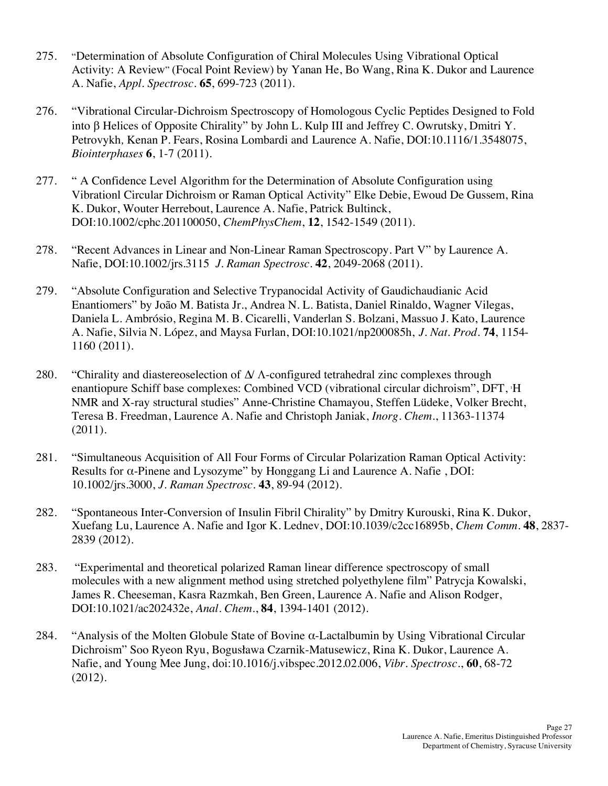- 275. "Determination of Absolute Configuration of Chiral Molecules Using Vibrational Optical Activity: A Review" (Focal Point Review) by Yanan He, Bo Wang, Rina K. Dukor and Laurence A. Nafie, *Appl. Spectrosc.* **65**, 699-723 (2011).
- 276. "Vibrational Circular-Dichroism Spectroscopy of Homologous Cyclic Peptides Designed to Fold into  $\beta$  Helices of Opposite Chirality" by John L. Kulp III and Jeffrey C. Owrutsky, Dmitri Y. Petrovykh*,* Kenan P. Fears, Rosina Lombardi and Laurence A. Nafie, DOI:10.1116/1.3548075, *Biointerphases*  $6, 1-7$  (2011).
- *Biointerphases* **6**, 1-7 (2011).<br>277. " A Confidence Level Algorithm for the Determination of Absolute Configuration using Vibrationl Circular Dichroism or Raman Optical Activity" Elke Debie, Ewoud De Gussem, Rina K. Dukor, Wouter Herrebout, Laurence A. Nafie, Patrick Bultinck, DOI:10.1002/cphc.201100050, *ChemPhysChem*, **12**, 1542-1549 (2011).
- 278. "Recent Advances in Linear and Non-Linear Raman Spectroscopy. Part V" by Laurence A. Nafie, DOI:10.1002/jrs.3115 *J. Raman Spectrosc*. **42**, 2049-2068 (2011).
- 279. "Absolute Configuration and Selective Trypanocidal Activity of Gaudichaudianic Acid Enantiomers" by João M. Batista Jr., Andrea N. L. Batista, Daniel Rinaldo, Wagner Vilegas, Daniela L. Ambrósio, Regina M. B. Cicarelli, Vanderlan S. Bolzani, Massuo J. Kato, Laurence A. Nafie, Silvia N. López, and Maysa Furlan, DOI:10.1021/np200085h, *J. Nat. Prod.* **74**, 1154-  $1160(2011)$ .
- 1160 (2011).<br>280. "Chirality and diastereoselection of ∆/ A-configured tetrahedral zinc complexes through enantiopure Schiff base complexes: Combined VCD (vibrational circular dichroism", DFT, 1 H NMR and X-ray structural studies" Anne-Christine Chamayou, Steffen Lüdeke, Volker Brecht, Teresa B. Freedman, Laurence A. Nafie and Christoph Janiak, *Inorg. Chem.*, 11363-11374 (2011).
- 281. "Simultaneous Acquisition of All Four Forms of Circular Polarization Raman Optical Activity: Results for α-Pinene and Lysozyme" by Honggang Li and Laurence A. Nafie , DOI:  10.1002/jrs.3000, *J. Raman Spectrosc.* **43**, 89-94 (2012).
- 282. "Spontaneous Inter-Conversion of Insulin Fibril Chirality" by Dmitry Kurouski, Rina K. Dukor, Xuefang Lu, Laurence A. Nafie and Igor K. Lednev, DOI:10.1039/c2cc16895b, *Chem Comm*. **48**, 2837- 2839 (2012).
- 2839 (2012). 283. "Experimental and theoretical polarized Raman linear difference spectroscopy of small molecules with a new alignment method using stretched polyethylene film" Patrycja Kowalski, James R. Cheeseman, Kasra Razmkah, Ben Green, Laurence A. Nafie and Alison Rodger,  DOI:10.1021/ac202432e, *Anal. Chem.*, **84**, 1394-1401 (2012).
- 284. "Analysis of the Molten Globule State of Bovine  $\alpha$ -Lactalbumin by Using Vibrational Circular Dichroism" Soo Ryeon Ryu, Bogusława Czarnik-Matusewicz, Rina K. Dukor, Laurence A. Nafie, and Young Mee Jung, doi:10.1016/j.vibspec.2012.02.006, *Vibr. Spectrosc.*, **60**, 68-72  $(2012).$  $(2012).$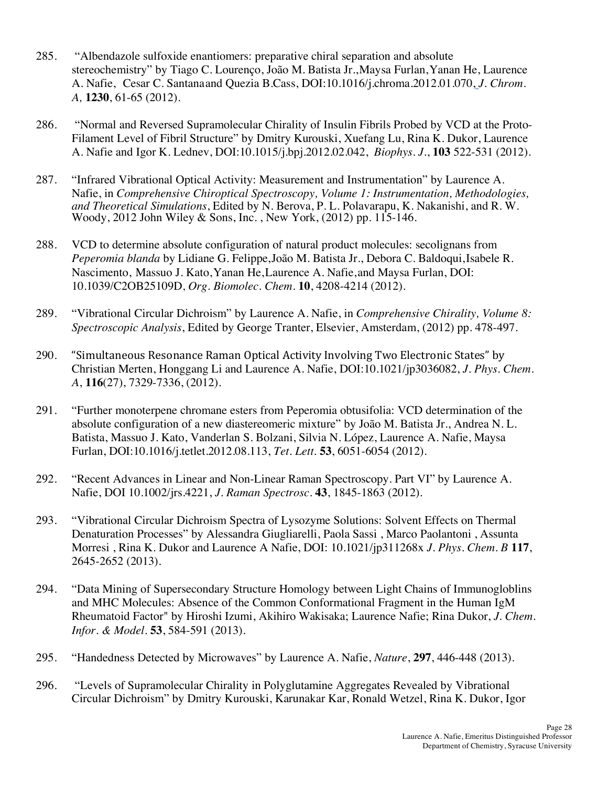- 285. "Albendazole sulfoxide enantiomers: preparative chiral separation and absolute stereochemistry" by Tiago C. Lourenço, João M. Batista Jr.,Maysa Furlan,Yanan He, Laurence A. Nafie, Cesar C. Santanaand Quezia B.Cass, DOI:10.1016/j.chroma.2012.01.070, *J. Chrom. A,* **1230**, 61-65 (2012).
- 286. "Normal and Reversed Supramolecular Chirality of Insulin Fibrils Probed by VCD at the Proto- Filament Level of Fibril Structure" by Dmitry Kurouski, Xuefang Lu, Rina K. Dukor, Laurence A. Nafie and Igor K. Lednev, DOI:10.1015/j.bpj.2012.02.042, *Biophys. J.*, **103** 522-531 (2012).
- 287. "Infrared Vibrational Optical Activity: Measurement and Instrumentation" by Laurence A. Nafie, in *Comprehensive Chiroptical Spectroscopy, Volume 1: Instrumentation, Methodologies, and Theoretical Simulations*, Edited by N. Berova, P. L. Polavarapu, K. Nakanishi, and R. W. Woody, 2012 John Wiley & Sons, Inc. , New York, (2012) pp. 115-146.
- 288. VCD to determine absolute configuration of natural product molecules: secolignans from *Peperomia blanda* by Lidiane G. Felippe,João M. Batista Jr., Debora C. Baldoqui, Isabele R. Nascimento, Massuo J. Kato,Yanan He,Laurence A. Nafie,and Maysa Furlan, DOI:  10.1039/C2OB25109D, *Org. Biomolec. Chem.* **10**, 4208-4214 (2012).
- 289. "Vibrational Circular Dichroism" by Laurence A. Nafie, in *Comprehensive Chirality, Volume 8: Spectroscopic Analysis*, Edited by George Tranter, Elsevier, Amsterdam, (2012) pp. 478-497.
- Christian Merten, Honggang Li and Laurence A. Nafie, DOI:10.1021/jp3036082, *J. Phys. Chem.*  290. "Simultaneous Resonance Raman Optical Activity Involving Two Electronic States" by *A*, **116**(27), 7329-7336, (2012).
- 291. "Further monoterpene chromane esters from Peperomia obtusifolia: VCD determination of the absolute configuration of a new diastereomeric mixture" by João M. Batista Jr., Andrea N. L. Batista, Massuo J. Kato, Vanderlan S. Bolzani, Silvia N. López, Laurence A. Nafie, Maysa Furlan, DOI:10.1016/j.tetlet.2012.08.113, *Tet. Lett.* **53**, 6051-6054 (2012).
- 292. "Recent Advances in Linear and Non-Linear Raman Spectroscopy. Part VI" by Laurence A. Nafie, DOI 10.1002/jrs.4221, *J. Raman Spectrosc*. **43**, 1845-1863 (2012).
- 293. "Vibrational Circular Dichroism Spectra of Lysozyme Solutions: Solvent Effects on Thermal Denaturation Processes" by Alessandra Giugliarelli, Paola Sassi , Marco Paolantoni , Assunta Morresi , Rina K. Dukor and Laurence A Nafie, DOI: 10.1021/jp311268x *J. Phys. Chem. B* **117**, 2645-2652 (2013).
- 294. "Data Mining of Supersecondary Structure Homology between Light Chains of Immunogloblins and MHC Molecules: Absence of the Common Conformational Fragment in the Human IgM Rheumatoid Factor" by Hiroshi Izumi, Akihiro Wakisaka; Laurence Nafie; Rina Dukor, *J. Chem. Infor. & Model.* **53**, 584-591 (2013).
- 295. "Handedness Detected by Microwaves" by Laurence A. Nafie, *Nature*, **297**, 446-448 (2013).
- 296. "Levels of Supramolecular Chirality in Polyglutamine Aggregates Revealed by Vibrational Circular Dichroism" by Dmitry Kurouski, Karunakar Kar, Ronald Wetzel, Rina K. Dukor, Igor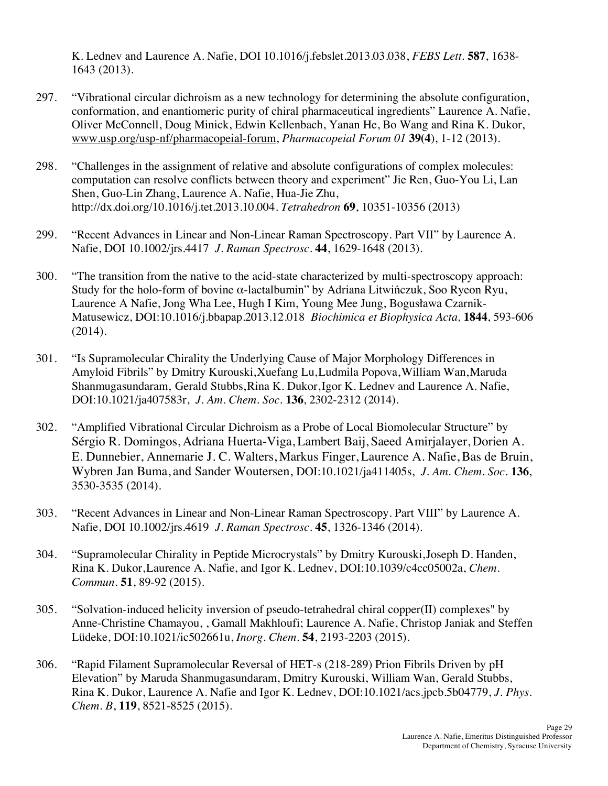K. Lednev and Laurence A. Nafie, DOI 10.1016/j.febslet.2013.03.038, *FEBS Lett.* **587**, 1638- 1643 (2013).

- 297. "Vibrational circular dichroism as a new technology for determining the absolute configuration, conformation, and enantiomeric purity of chiral pharmaceutical ingredients" Laurence A. Nafie, Oliver McConnell, Doug Minick, Edwin Kellenbach, Yanan He, Bo Wang and Rina K. Dukor,  www.usp.org/usp-nf/pharmacopeial-forum, *Pharmacopeial Forum 01* **39(4**), 1-12 (2013).
- 298. "Challenges in the assignment of relative and absolute configurations of complex molecules: computation can resolve conflicts between theory and experiment" Jie Ren, Guo-You Li, Lan Shen, Guo-Lin Zhang, Laurence A. Nafie, Hua-Jie Zhu, http://dx.doi.org/10.1016/j.tet.2013.10.004. *Tetrahedron* **69**, 10351-10356 (2013)
- 299. "Recent Advances in Linear and Non-Linear Raman Spectroscopy. Part VII" by Laurence A. Nafie, DOI 10.1002/jrs.4417 *J. Raman Spectrosc*. **44**, 1629-1648 (2013).
- 300. "The transition from the native to the acid-state characterized by multi-spectroscopy approach: Study for the holo-form of bovine α-lactalbumin" by Adriana Litwińczuk, Soo Ryeon Ryu, Laurence A Nafie, Jong Wha Lee, Hugh I Kim, Young Mee Jung, Bogusława Czarnik- Matusewicz, DOI:10.1016/j.bbapap.2013.12.018 *Biochimica et Biophysica Acta,* **1844**, 593-606 (2014).
- 301. "Is Supramolecular Chirality the Underlying Cause of Major Morphology Differences in Shanmugasundaram, Gerald Stubbs,Rina K. Dukor, Igor K. Lednev and Laurence A. Nafie,  DOI:10.1021/ja407583r, *J. Am. Chem. Soc.* **136**, 2302-2312 (2014). Amyloid Fibrils" by Dmitry Kurouski,Xuefang Lu,Ludmila Popova,William Wan,Maruda
- 302. "Amplified Vibrational Circular Dichroism as a Probe of Local Biomolecular Structure" by E. Dunnebier, Annemarie J. C. Walters, Markus Finger, Laurence A. Nafie, Bas de Bruin, Wybren Jan Buma, and Sander Woutersen, DOI:10.1021/ja411405s, *J. Am. Chem. Soc.* **136**, 3530-3535 (2014). Sérgio R. Domingos, Adriana Huerta-Viga, Lambert Baij, Saeed Amirjalayer, Dorien A.
- 303. "Recent Advances in Linear and Non-Linear Raman Spectroscopy. Part VIII" by Laurence A. Nafie, DOI 10.1002/jrs.4619 *J. Raman Spectrosc*. **45**, 1326-1346 (2014).
- Rina K. Dukor,Laurence A. Nafie, and Igor K. Lednev, DOI:10.1039/c4cc05002a, *Chem.*  304. "Supramolecular Chirality in Peptide Microcrystals" by Dmitry Kurouski,Joseph D. Handen, *Commun.* **51**, 89-92 (2015).
- 305. "Solvation-induced helicity inversion of pseudo-tetrahedral chiral copper(II) complexes" by Anne-Christine Chamayou, , Gamall Makhloufi; Laurence A. Nafie, Christop Janiak and Steffen Lüdeke, DOI:10.1021/ic502661u, *Inorg. Chem*. **54**, 2193-2203 (2015).
- 306. "Rapid Filament Supramolecular Reversal of HET-s (218-289) Prion Fibrils Driven by pH Elevation" by Maruda Shanmugasundaram, Dmitry Kurouski, William Wan, Gerald Stubbs, Rina K. Dukor, Laurence A. Nafie and Igor K. Lednev, DOI:10.1021/acs.jpcb.5b04779, *J. Phys. Chem. B*, **119**, 8521-8525 (2015).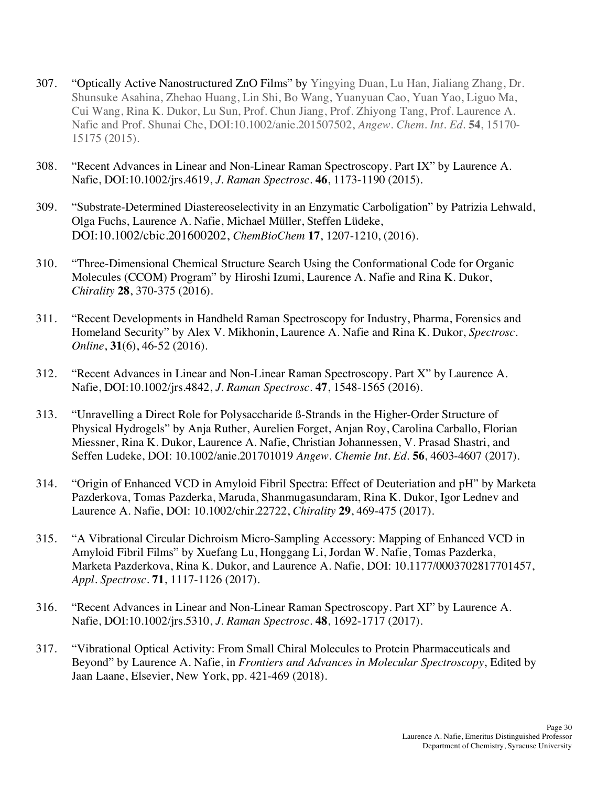- 307. "Optically Active Nanostructured ZnO Films" by Yingying Duan, Lu Han, Jialiang Zhang, Dr. Shunsuke Asahina, Zhehao Huang, Lin Shi, Bo Wang, Yuanyuan Cao, Yuan Yao, Liguo Ma, Cui Wang, Rina K. Dukor, Lu Sun, Prof. Chun Jiang, Prof. Zhiyong Tang, Prof. Laurence A. Nafie and Prof. Shunai Che, DOI:10.1002/anie.201507502, *Angew. Chem. Int. Ed.* **54**, 15170- 15175 (2015).
- 308. "Recent Advances in Linear and Non-Linear Raman Spectroscopy. Part IX" by Laurence A. Nafie, DOI:10.1002/jrs.4619, *J. Raman Spectrosc*. **46**, 1173-1190 (2015).
- 309. "Substrate-Determined Diastereoselectivity in an Enzymatic Carboligation" by Patrizia Lehwald, Olga Fuchs, Laurence A. Nafie, Michael Müller, Steffen Lüdeke, DOI:10.1002/cbic.201600202, *ChemBioChem* **17**, 1207-1210, (2016).
- 310. "Three-Dimensional Chemical Structure Search Using the Conformational Code for Organic Molecules (CCOM) Program" by Hiroshi Izumi, Laurence A. Nafie and Rina K. Dukor, *Chirality* **28**, 370-375 (2016).
- 311. "Recent Developments in Handheld Raman Spectroscopy for Industry, Pharma, Forensics and Homeland Security" by Alex V. Mikhonin, Laurence A. Nafie and Rina K. Dukor, *Spectrosc. Online*, **31**(6), 46-52 (2016).
- 312. "Recent Advances in Linear and Non-Linear Raman Spectroscopy. Part X" by Laurence A. Nafie, DOI:10.1002/jrs.4842, *J. Raman Spectrosc*. **47**, 1548-1565 (2016).
- 313. "Unravelling a Direct Role for Polysaccharide ß-Strands in the Higher-Order Structure of Physical Hydrogels" by Anja Ruther, Aurelien Forget, Anjan Roy, Carolina Carballo, Florian Miessner, Rina K. Dukor, Laurence A. Nafie, Christian Johannessen, V. Prasad Shastri, and Seffen Ludeke, DOI: 10.1002/anie.201701019 *Angew. Chemie Int. Ed.* **56**, 4603-4607 (2017).
- 314. "Origin of Enhanced VCD in Amyloid Fibril Spectra: Effect of Deuteriation and pH" by Marketa Pazderkova, Tomas Pazderka, Maruda, Shanmugasundaram, Rina K. Dukor, Igor Lednev and Laurence A. Nafie, DOI: 10.1002/chir.22722, *Chirality* **29**, 469-475 (2017).
- 315. "A Vibrational Circular Dichroism Micro-Sampling Accessory: Mapping of Enhanced VCD in Amyloid Fibril Films" by Xuefang Lu, Honggang Li, Jordan W. Nafie, Tomas Pazderka, Marketa Pazderkova, Rina K. Dukor, and Laurence A. Nafie, DOI: 10.1177/0003702817701457, *Appl. Spectrosc*. **71**, 1117-1126 (2017).
- 316. "Recent Advances in Linear and Non-Linear Raman Spectroscopy. Part XI" by Laurence A. Nafie, DOI:10.1002/jrs.5310, *J. Raman Spectrosc*. **48**, 1692-1717 (2017).
- 317. "Vibrational Optical Activity: From Small Chiral Molecules to Protein Pharmaceuticals and Beyond" by Laurence A. Nafie, in *Frontiers and Advances in Molecular Spectroscopy*, Edited by Jaan Laane, Elsevier, New York, pp. 421-469 (2018).